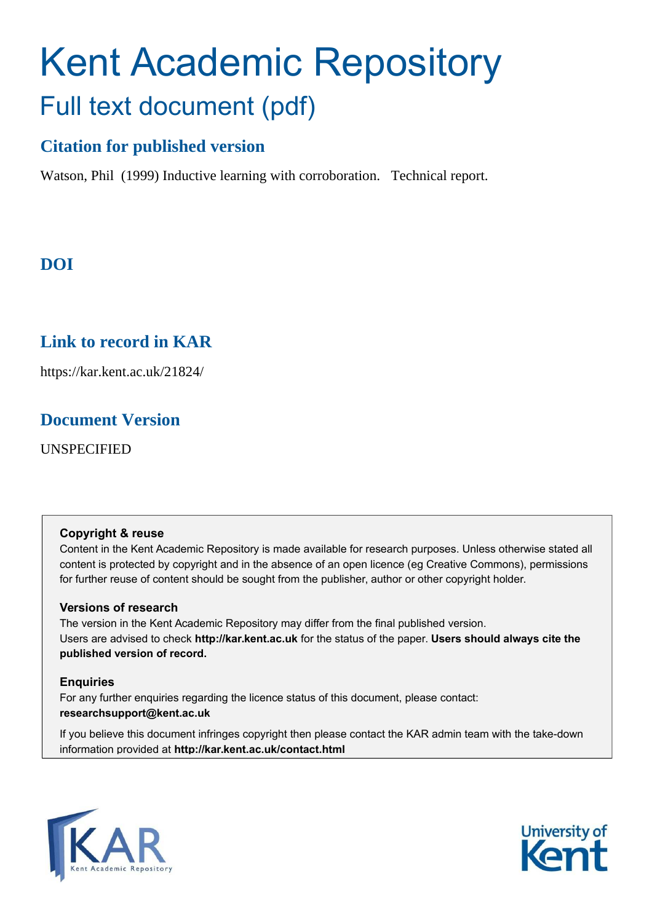# Kent Academic Repository Full text document (pdf)

# **Citation for published version**

Watson, Phil (1999) Inductive learning with corroboration. Technical report.

# **DOI**

# **Link to record in KAR**

https://kar.kent.ac.uk/21824/

# **Document Version**

UNSPECIFIED

### **Copyright & reuse**

Content in the Kent Academic Repository is made available for research purposes. Unless otherwise stated all content is protected by copyright and in the absence of an open licence (eg Creative Commons), permissions for further reuse of content should be sought from the publisher, author or other copyright holder.

### **Versions of research**

The version in the Kent Academic Repository may differ from the final published version. Users are advised to check **http://kar.kent.ac.uk** for the status of the paper. **Users should always cite the published version of record.**

### **Enquiries**

For any further enquiries regarding the licence status of this document, please contact: **researchsupport@kent.ac.uk**

If you believe this document infringes copyright then please contact the KAR admin team with the take-down information provided at **http://kar.kent.ac.uk/contact.html**



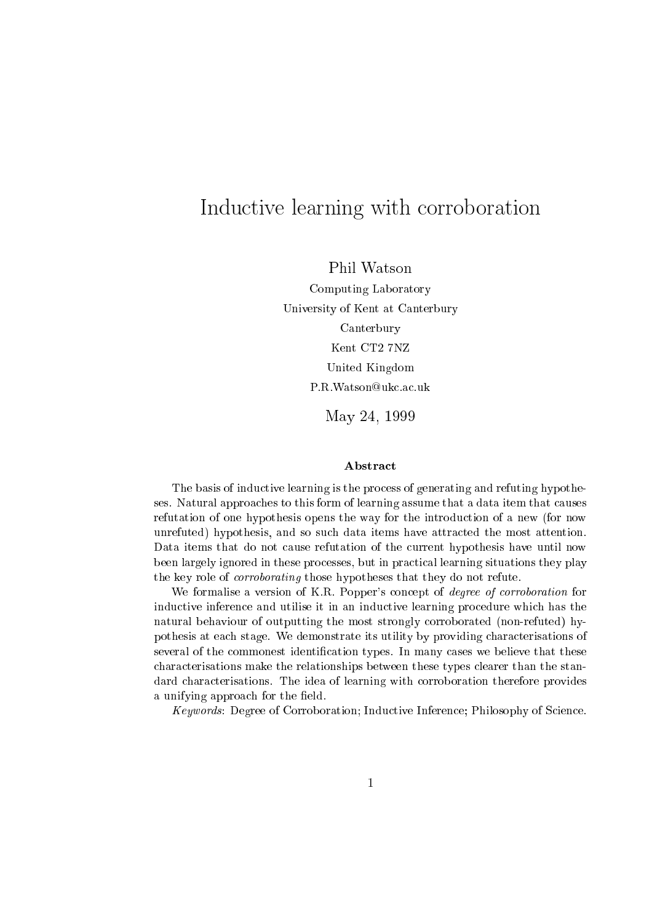# Indu
tive learning with orroboration

Phil Watson

 $\blacksquare$  . The computation of the computation of the computation of the computation of the computation of the computation of the computation of the computation of the computation of the computation of the computation of the University of Kent at Canterbury of Kent at Canterbury of Canterbury of Canterbury of Canterbury of Canterbury CanterburyKent CT2 7NZ United Kingdom P.R. Watson @ukc.ac.uk

May 24, <sup>1999</sup>

#### **Abstract**

tive learning is the problem is the problem is  $\Delta$  . The problem is the problem in  $\Delta$  and  $\Delta$ ses. Natural approaches to the to the learning assume that assume that a data item that a data it is a data it refutation of one hypothesis opens the way for the introdu
tion of <sup>a</sup> new (for now unrefuted) hypothesis, and so su
h data items have attra
ted the most attention. Data items that do not ause refutation of the urrent hypothesis have until now been largely ignored in the production in the production in the production of the productions they play the key role of orroborating those hypotheses that they do not refute.

We formalise a version of K.R. Popper's concept of *degree of corroboration* for inductive inference in an induction in and inductive it induction, provided it includes the contract of natural behaviour of outputting the most strongly orroborated (non-refuted) hypothesis at ea
h stage. We demonstrate its utility by providing hara
terisations of several of the ommonest identi
ation types. In many ases we believe that these hara
terisations make the relationships between these types learer than the standard terms at the idea of learning with the idea of learning with the idea of the idea of the idea of the idea a unifying a unifying approach and the contract of the contract of the contract of the contract of the contract of the contract of the contract of the contract of the contract of the contract of the contract of the contrac

Keywords: Degree of Corroboration; Indu
tive Inferen
e; Philosophy of S
ien
e.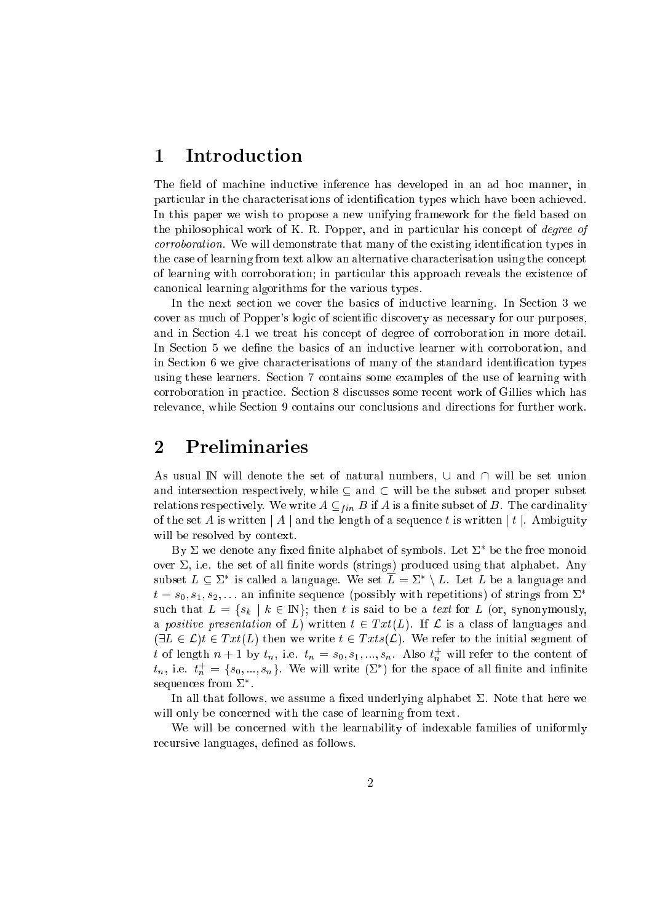# 1 Introduction

The field of machine inductive inference has developed in an ad hoc manner, in parti
ular in the hara
terisations of identi
ation types whi
h have been a
hieved. In this paper we wish to propose a new unifying framework for the field based on the philosophical work of K. R. Popper, and in particular his concept of *degree of* corroboration. We will demonstrate that many of the existing identification types in the case of learning from text allow an alternative characterisation using the concept of learning with orroboration; in parti
ular this approa
h reveals the existen
e of anoni
al learning algorithms for the various types.

In the next section we cover the basics of inductive learning. In Section 3 we cover as much of Popper's logic of scientific discovery as necessary for our purposes. and in Section 4.1 we treat his concept of degree of corroboration in more detail. In Section 5 we define the basics of an inductive learner with corroboration, and in Section 6 we give characterisations of many of the standard identification types using these learners. Se
tion 7 ontains some examples of the use of learning with orroboration in pra
ti
e. Se
tion 8 dis
usses some re
ent work of Gillies whi
h has relevance, while Section 9 contains our conclusions and directions for further work.

# <sup>2</sup> Preliminaries

As usual  $\mathbb N$  will denote the set of natural numbers,  $\cup$  and  $\cap$  will be set union and intersection respectively, while  $\subseteq$  and  $\subset$  will be the subset and proper subset relations respectively. We write  $A \subseteq_{fin} B$  if A is a finite subset of B. The cardinality of the set A is written  $|A|$  and the length of a sequence t is written  $|t|$ . Ambiguity will be resolved by context.

 $Dy \nightharpoonup$  we denote any fixed finite alphabet of symbols. Let  $\Sigma$  be the free monoid over  $\Sigma$ , i.e. the set of all finite words (strings) produced using that alphabet. Any subset  $L \subset \Sigma^*$  is called a language. We set  $L = \Sigma^* \setminus L$ . Let L be a language and  $t = s_0, s_1, s_2, \ldots$  an infinite sequence (possibly with repetitions) of strings from  $\Sigma^*$ such that  $L = \{s_k | k \in \mathbb{N}\}$ ; then t is said to be a text for L (or, synonymously, a positive presentation of L) written  $t \in Txt(L)$ . If L is a class of languages and  $(\exists L \in \mathcal{L})t \in Txt(L)$  then we write  $t \in Txts(\mathcal{L})$ . We refer to the initial segment of t of length  $n+1$  by  $t_n$ , i.e.  $t_n = s_0, s_1, ..., s_n$ . Also  $t_n^+$  will refer to the content of  $t_n$ , i.e.  $t_n^+ = \{s_0, ..., s_n\}$ . We will write  $(\Sigma^*)$  for the space of all finite and infinite sequences from  $\scriptstyle\mathcal{L}$  .

In all that follows, we assume a fixed underlying alphabet  $\Sigma$ . Note that here we will only be concerned with the case of learning from text.

We will be concerned with the learnability of indexable families of uniformly recursive languages, defined as follows.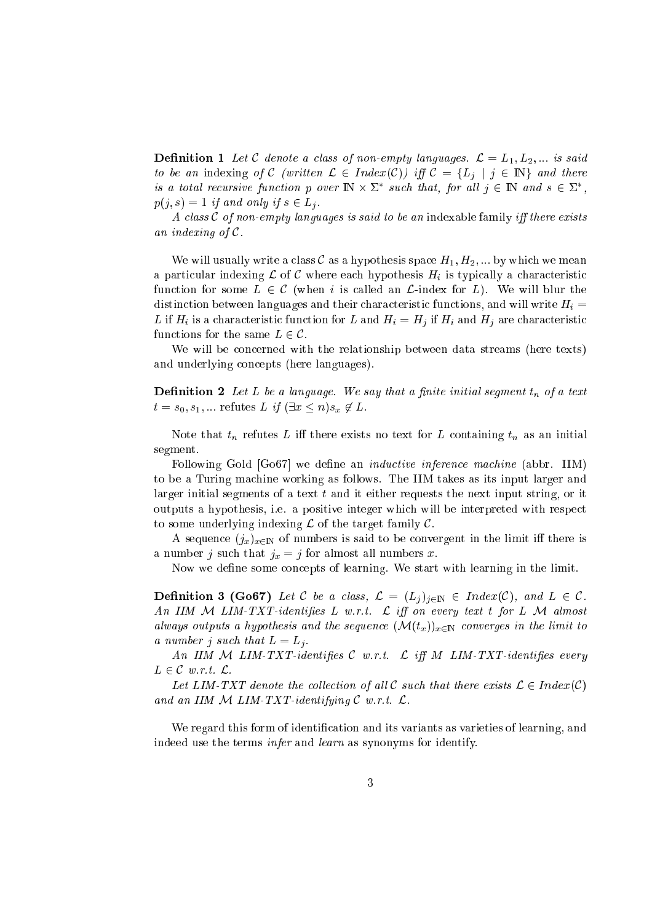**Definition 1** Let C denote a class of non-empty languages.  $\mathcal{L} = L_1, L_2, ...$  is said to be an indexing of C (written  $\mathcal{L} \in Index(C)$ ) iff  $\mathcal{C} = \{L_j | j \in \mathbb{N}\}\$ and there is a total recursive function  $p$  over  $\ln \times \angle$  such that, for all  $\gamma \in \mathbb{N}$  and  $s \in \angle$  ,  $p(j, s) = 1$  if and only if  $s \in L_j$ .

A class  $C$  of non-empty languages is said to be an indexable family iff there exists an indexing of C.

We will usually write a class C as a hypothesis space  $H_1, H_2, \dots$  by which we mean a particular indexing  $\mathcal L$  of  $\mathcal C$  where each hypothesis  $H_i$  is typically a characteristic function for some  $L \in \mathcal{C}$  (when i is called an  $\mathcal{L}$ -index for L). We will blur the distinction between languages and their characteristic functions, and will write  $H_i =$ L if  $H_i$  is a characteristic function for L and  $H_i = H_j$  if  $H_i$  and  $H_j$  are characteristic functions for the same  $L \in \mathcal{C}$ .

We will be concerned with the relationship between data streams (here texts) and underlying on
epts (here languages).

**Definition 2** Let L be a language. We say that a finite initial segment  $t_n$  of a text  $t = s_0, s_1, \dots$  refutes L if  $(\exists x \leq n) s_x \notin L$ .

Note that  $t_n$  refutes L iff there exists no text for L containing  $t_n$  as an initial segment.

Following Gold [Go67] we define an *inductive inference machine* (abbr. IIM) to be a Turing ma
hine working as follows. The IIM takes as its input larger and larger initial segments of a text  $t$  and it either requests the next input string, or it outputs a hypothesis, i.e. a positive integer whi
h will be interpreted with respe
t to some underlying indexing  $\mathcal L$  of the target family  $\mathcal C$ .

A sequence  $(j_x)_{x \in \mathbb{N}}$  of numbers is said to be convergent in the limit iff there is a number j such that  $j_x = j$  for almost all numbers x.

Now we define some concepts of learning. We start with learning in the limit.

**Definition 3 (Go67)** Let C be a class,  $\mathcal{L} = (L_j)_{j \in \mathbb{N}} \in Index(\mathcal{C})$ , and  $L \in \mathcal{C}$ . An IIM  $M$  LIM-TXT-identifies L w.r.t.  $\mathcal L$  iff on every text t for L  $M$  almost always outputs a hypothesis and the sequence  $(\mathcal{M}(t_x))_{x\in\mathbb{N}}$  converges in the limit to a number j such that  $L = L_i$ .

An IIM  $M$  LIM-TXT-identifies  $C$  w.r.t.  $C$  iff  $M$  LIM-TXT-identifies every  $L \in \mathcal{C}$  w.r.t.  $\mathcal{L}$ .

Let LIM-TXT denote the collection of all C such that there exists  $\mathcal{L} \in Index(\mathcal{C})$ and an IIM  $M$  LIM-TXT-identifying  $C$  w.r.t.  $\mathcal{L}$ .

We regard this form of identification and its variants as varieties of learning, and indeed use the terms infer and learn as synonyms for identify.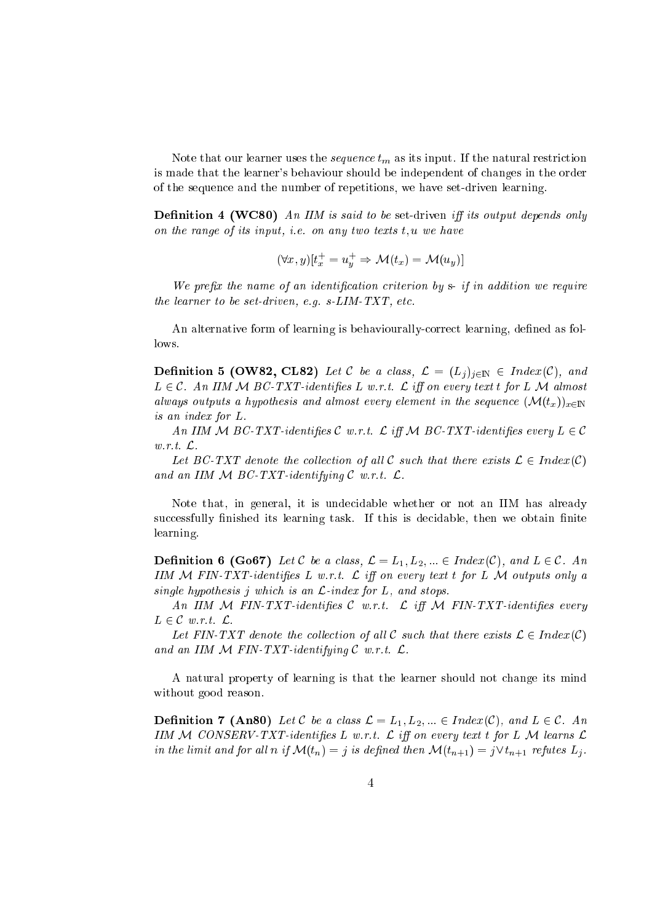Note that our learner uses the *sequence*  $t_m$  as its input. If the natural restriction is made that the learner's behaviour should be independent of hanges in the order of the sequen
e and the number of repetitions, we have set-driven learning.

**Definition 4 (WC80)** An IIM is said to be set-driven iff its output depends only on the range of its input, i.e. on any two texts  $t, u$  we have

$$
(\forall x, y)[t_x^+ = u_y^+ \Rightarrow \mathcal{M}(t_x) = \mathcal{M}(u_y)]
$$

We prefix the name of an identification criterion by  $s$ - if in addition we require the learner to be set-driven, e.g. s-LIM-TXT, et
.

An alternative form of learning is behaviourally-correct learning, defined as follows.

**Definition 5 (OW82, CL82)** Let C be a class,  $\mathcal{L} = (L_j)_{j \in \mathbb{N}} \in Index(\mathcal{C})$ , and  $L \in \mathcal{C}$ . An IIM M BC-TXT-identifies L w.r.t.  $\mathcal{L}$  iff on every text t for L M almost always outputs a hypothesis and almost every element in the sequence  $(\mathcal{M}(t_{r}))_{r \in \mathbb{N}}$ is an index for L.

An IIM M BC-TXT-identifies C w.r.t.  $\mathcal{L}$  iff M BC-TXT-identifies every  $L \in \mathcal{C}$ w.r.t. L.

Let BC-TXT denote the collection of all C such that there exists  $\mathcal{L} \in Index(\mathcal{C})$ and an IIM  $M$  BC-TXT-identifying C w.r.t.  $\mathcal{L}$ .

Note that, in general, it is unde
idable whether or not an IIM has already successfully finished its learning task. If this is decidable, then we obtain finite learning.

**Definition 6 (Go67)** Let C be a class,  $\mathcal{L} = L_1, L_2, ... \in Index(\mathcal{C})$ , and  $L \in \mathcal{C}$ . An IIM  $M$  FIN-TXT-identifies L w.r.t.  $\mathcal{L}$  iff on every text t for L  $\mathcal{M}$  outputs only a single hypothesis j which is an  $\mathcal{L}$ -index for  $L$ , and stops.

An IIM  $M$  FIN-TXT-identifies C w.r.t.  $\mathcal{L}$  iff  $\mathcal{M}$  FIN-TXT-identifies every  $L \in \mathcal{C}$  w.r.t.  $\mathcal{L}$ .

Let FIN-TXT denote the collection of all C such that there exists  $\mathcal{L} \in Index(\mathcal{C})$ and an IIM  $M$  FIN-TXT-identifying C w.r.t.  $\mathcal{L}$ .

A natural property of learning is that the learner should not hange its mind without good reason.

**Definition 7 (An80)** Let C be a class  $\mathcal{L} = L_1, L_2, ... \in Index(\mathcal{C})$ , and  $L \in \mathcal{C}$ . An IIM M CONSERV-TXT-identifies L w.r.t.  $\mathcal L$  iff on every text t for L M learns  $\mathcal L$ in the limit and for all n if  $\mathcal{M}(t_n) = j$  is defined then  $\mathcal{M}(t_{n+1}) = j \vee t_{n+1}$  refutes  $L_j$ .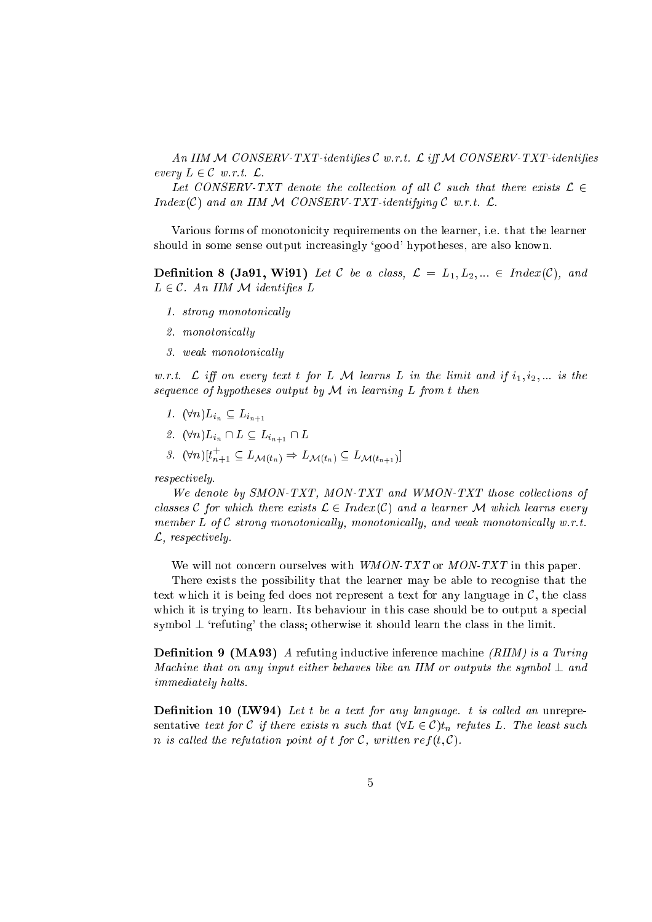An IIM  $M$  CONSERV-TXT-identifies  $C$  w.r.t.  $\mathcal L$  iff  $M$  CONSERV-TXT-identifies every  $L \in \mathcal{C}$  w.r.t.  $\mathcal{L}$ .

Let CONSERV-TXT denote the collection of all C such that there exists  $\mathcal{L} \in$  $Index(\mathcal{C})$  and an IIM M CONSERV-TXT-identifying  $\mathcal{C}$  w.r.t.  $\mathcal{L}$ .

Various forms of monotoni
ity requirements on the learner, i.e. that the learner should in some sense output in
reasingly `good' hypotheses, are also known.

**Definition 8 (Ja91, Wi91)** Let C be a class,  $\mathcal{L} = L_1, L_2, ... \in Index(\mathcal{C}),$  and  $L \in \mathcal{C}$ . An IIM M identifies L

- 1. strong monotonically
- 2. monotonically
- 3. weak monotonically

w.r.t.  $\mathcal{L}$  iff on every text t for L M learns L in the limit and if  $i_1, i_2, \ldots$  is the sequence of hypotheses output by  $M$  in learning  $L$  from t then

- 1.  $(\forall n) L_{i_n} \subseteq L_{i_{n+1}}$
- 2.  $(\forall n) L_{i_n} \cap L \subseteq L_{i_{n+1}} \cap L$
- 3.  $(\nabla^n)[t_{n+1} \subseteq L_{\mathcal{M}(t_n)} \Rightarrow L_{\mathcal{M}(t_n)} \subseteq L_{\mathcal{M}(t_{n+1})}]$

respe
tively.

We denote by SMON-TXT, MON-TXT and WMON-TXT those collections of classes C for which there exists  $\mathcal{L} \in Index(\mathcal{C})$  and a learner M which learns every member  $L$  of  $C$  strong monotonically, monotonically, and weak monotonically w.r.t. L, respe
tively.

with with the contract the contract in this paper. The contract is the contract of the paper.

There exists the possibility that the learner may be able to re
ognise that the text whi
h it is being fed does not represent <sup>a</sup> text for any language in C, the lass h it is trying to learn. It is trying to learn. It is behaviour in this behaviour in this behaviour in the to symbol  $\perp$  'refuting' the class; otherwise it should learn the class in the limit.

**Definition 9 (MA93)** A refuting inductive inference machine (RIIM) is a Turing Machine that on any input either behaves like an IIM or outputs the symbol  $\perp$  and immediately halts.

**Definition 10 (LW94)** Let t be a text for any language. t is called an unrepresentative text for C if there exists it such that (1  $\equiv$   $\equiv$   $\sim$   $\mu$  ) if the least such such such *n* is called the refutation point of t for C, written ref(t, C).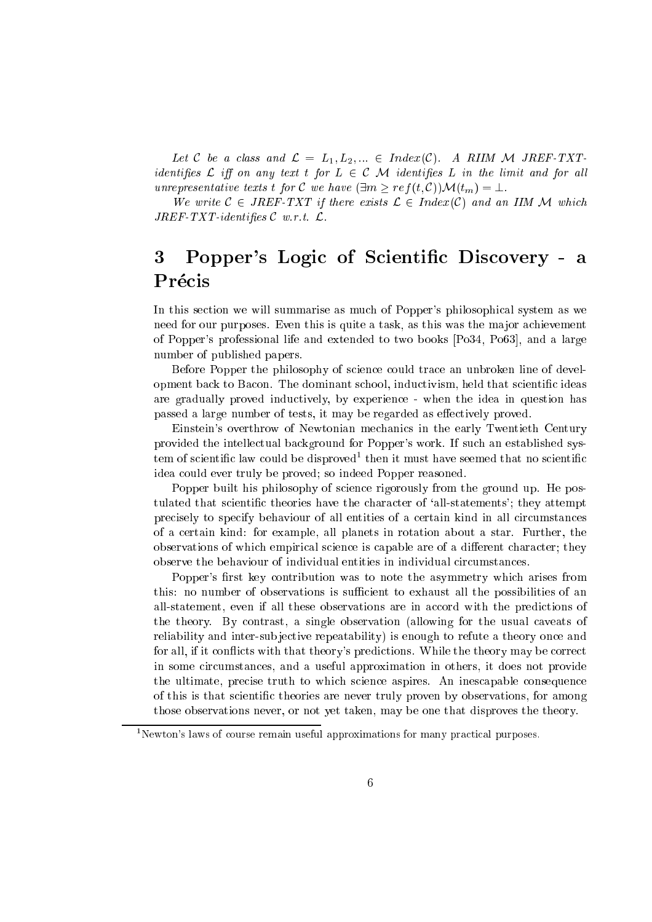Let C be a class and  $\mathcal{L} = L_1, L_2, ... \in Index(\mathcal{C})$ . A RIIM M JREF-TXTidentifies  $\mathcal L$  iff on any text t for  $L \in \mathcal C$  M identifies  $L$  in the limit and for all unrepresentative texts t for C we have  $(\exists m \ge ref(t, C))\mathcal{M}(t_m) = \bot$ .

We write  $C \in JREF-TXT$  if there exists  $\mathcal{L} \in Index(C)$  and an IIM M which  $JREF-TXT-identifies$   $\mathcal C$  w.r.t.  $\mathcal L$ .

### 3Popper's Logic of Scientific Discovery - a Précis

In this section we will summarise as much of Popper's philosophical system as we need for our purposes. Even this is quite a task, as this was the major achievement of Popper's professional life and extended to two books  $[P_034, P_063]$ , and a large number of published papers.

Before Popper the philosophy of science could trace an unbroken line of development back to Bacon. The dominant school, inductivism, held that scientific ideas are gradually proved indu
tively, by experien
e - when the idea in question has passed a large number of tests, it may be regarded as effectively proved.

Einstein's overthrow of Newtonian mechanics in the early Twentieth Century provided the intellectual background for Popper's work. If such an established sys- $\epsilon$ em of scientific faw could be disproved  $\epsilon$  then it must have seemed that no scientific idea ould ever truly be proved; so indeed Popper reasoned.

Popper built his philosophy of science rigorously from the ground up. He postulated that scientific theories have the character of 'all-statements'; they attempt pre
isely to spe
ify behaviour of all entities of a ertain kind in all ir
umstan
es of a ertain kind: for example, all planets in rotation about a star. Further, the observations of which empirical science is capable are of a different character; they observe the behaviour of individual entities in individual circumstances.

Popper's first key contribution was to note the asymmetry which arises from this: no number of observations is sufficient to exhaust all the possibilities of an all-statement, even if all these observations are in accord with the predictions of the theory. By ontrast, a single observation (allowing for the usual aveats of reliability and inter-subjective repeatability) is enough to refute a theory once and for all, if it conflicts with that theory's predictions. While the theory may be correct in some circumstances, and a useful approximation in others, it does not provide the ultimate, precise truth to which science aspires. An inescapable consequence of this is that s
ienti theories are never truly proven by observations, for among those observations never, or not yet taken, may be one that disproves the theory.

<sup>&</sup>lt;sup>1</sup>Newton's laws of course remain useful approximations for many practical purposes.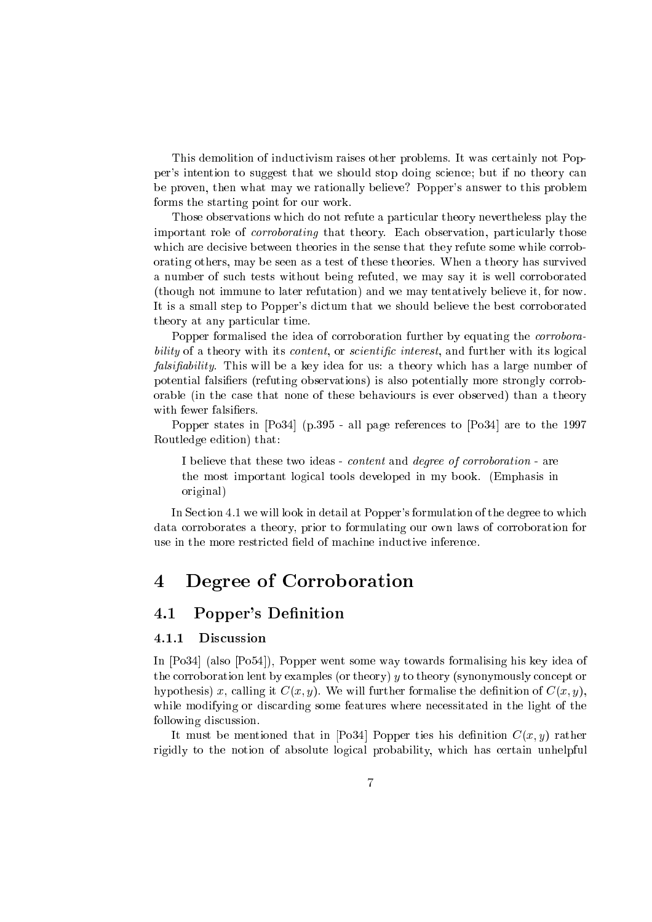This demolition of indu
tivism raises other problems. It was ertainly not Popper's intention to suggest that we should stop doing s
ien
e; but if no theory an be proven, then what may we rationally believe? Popper's answer to this problem forms the starting point for our work.

Those observations whi
h do not refute <sup>a</sup> parti
ular theory nevertheless play the important role of orroborating that theory. Ea
h observation, parti
ularly those h are described the sense theories in the sense the sense that the sense that the sense that the sense that th orating others, may be seen as <sup>a</sup> test of these theories. When <sup>a</sup> theory has survived a number of su
h tests without being refuted, we may say it is well orroborated (though not immune to later refutation) and we may tentatively believe it, for now. It is a small step to Popper's dictum that we should believe the best corroborated theory at any parti
ular time.

Popper formalised the idea of orroboration further by equating the orroborability of <sup>a</sup> theory with its ontent, or s
ienti interest, and further with its logi
al falsiability. This will be <sup>a</sup> key idea for us: <sup>a</sup> theory whi
h has <sup>a</sup> large number of potential falsiers (refuting observations) is also potentially more strongly orroborable (in the sense behaviours is the theory is even of the sense of the theory than a theory

Popper states in [Po34℄ (p.395 - all page referen
es to [Po34℄ are to the <sup>1997</sup> Routledge edition) that:

I believe that these two ideas - ontent and degree of orroboration - are the most important logi
al tools developed in my book. (Emphasis in original)

In Section 4.1 we will look in detail at Popper's formulation of the degree to which data orroborates <sup>a</sup> theory, prior to formulating our own laws of orroboration for

#### Degree of Corroboration  $\overline{\mathcal{A}}$  $\overline{\phantom{a}}$

### 4.1 Popper's Definition

### 4.1.1 Dis
ussion

In [Po34℄ (also [Po54℄), Popper went some way towards formalising his key idea of the orroboration lent by examples (or theory) <sup>y</sup> to theory (synonymously on
ept or hypothesis) x, alling it C(x; y). We will further formalise the denition of C(x; y), while modifying or distribution or distribution or distribution of the light of the light of the light of the light of the light of the light of the light of the light of the light of the light of the light of the light of following dis
ussion.

It must be mentioned that in [Po34℄ Popper ties his denition C(x; y) rather rigidly to the notion of absolute logi
al probability, whi
h has ertain unhelpful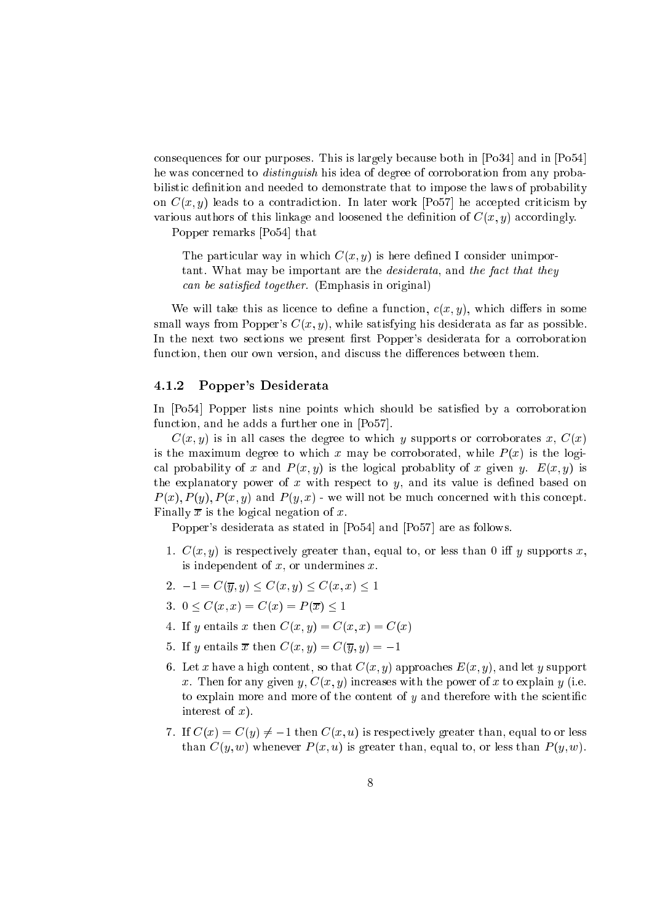onsequen
es for our purposes. This is largely be
ause both in [Po34℄ and in [Po54℄ he was on
erned to distinguish his idea of degree of orroboration from any probabilistic decreases to denote the state to decrease that the laws of probability of probability of probability on C(x; y) contra to a contradiction in an except work [Posts] in the post work contradiction various authors of this linkage and loosened the denition of C(x; y) a

ordingly.

Popper remarks [Po54℄ that

The parti
ular way in whi
h C(x; y) is here dened <sup>I</sup> onsider unimportant the important matrix of the design are the desideration of the fact that the fact the fact the fact of th and be satisfact to gainers. (Emphasis in original)

will the this assembly the function of the function of the some collection of  $\mathcal{X}$  in the some collection small ways from Popper's  $C(x, y)$ , while satisfying his desiderata as far as possible. In the next two sections we present first Popper's desiderata for a corroboration fun
tion, then our own version, and dis
uss the dieren
es between them.

#### 4.1.2 Popper's Desiderata

In [Po54℄ Popper lists nine points whi
h should be satised by <sup>a</sup> orroboration tion, and he adds a further one in the additional contracts and the contracts of  $\mathcal{C}$ 

 $C(x, y)$  is in all cases the degree to which y supports or corroborates x,  $C(x)$ is the maximum degree to which when  $\mu$  are the logical contract which  $\mu$  is the logic al probability of <sup>x</sup> and <sup>P</sup> (x; y) is the logi
al probablity of <sup>x</sup> given y. E(x; y) is the explanatory power of <sup>x</sup> with respe
t to y, and its value is dened based on  $P(x), P(y), P(x, y)$  and  $P(y, x)$  we will not be much concerned with this concept. Finally <sup>x</sup> is the logi
al negation of x.

Popper's desiderata as stated in  $[Po54]$  and  $[Po57]$  are as follows.

- 1. C(x; y) is respe
tively greater than, equal to, or less than <sup>0</sup> <sup>i</sup> <sup>y</sup> supports x, is independent of x, or undermines x.
- 2. 1 <sup>=</sup> C(y; y) C(x; y) C(x; x) <sup>1</sup>
- 3. <sup>0</sup> C(x; x) <sup>=</sup> C(x) <sup>=</sup> <sup>P</sup> (x) <sup>1</sup>
- $\mathbf{r}$  is the continuous continuous continuous continuous continuous continuous continuous continuous continuous continuous continuous continuous continuous continuous continuous continuous continuous continuous continu
- 5. If <sup>y</sup> entails <sup>x</sup> then C(x; y) <sup>=</sup> C(y; y) <sup>=</sup> 1
- or extra extra complete a hesself we heaven to the that complete measure and let y support when the process x. Then for any given y,  $C(x, y)$  increases with the power of x to explain y (i.e. to explain more and more of the ontent of <sup>y</sup> and therefore with the s
ienti interest of x).
- 7. If C(x) <sup>=</sup> C(y) 6= 1 then C(x; u) is respe
tively greater than, equal to or less than C(y; w) whenever <sup>P</sup> (x; u) is greater than, equal to, or less than <sup>P</sup> (y; w).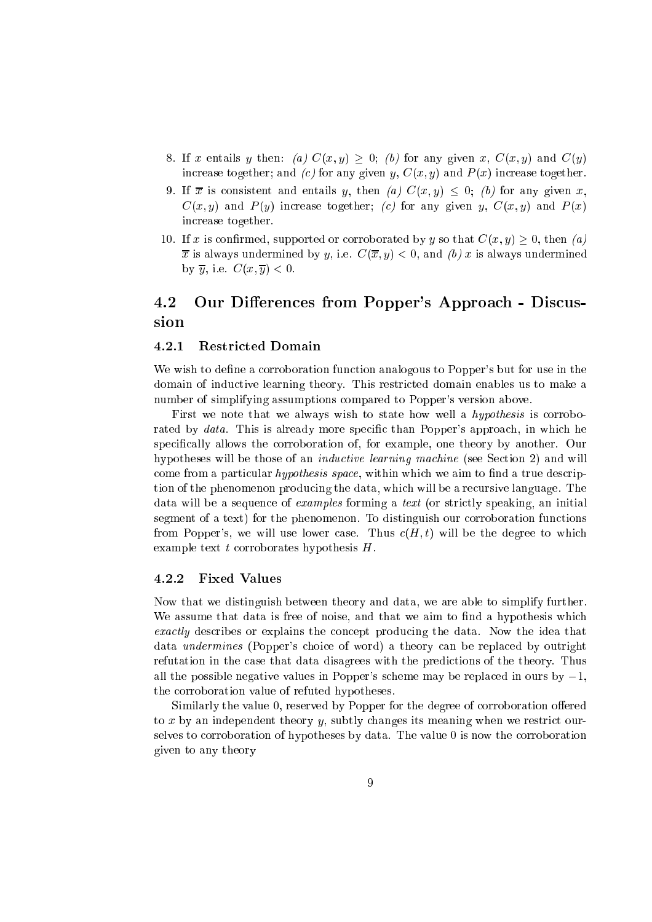- 8. If <sup>x</sup> entails <sup>y</sup> then: (a) C(x; y) 0; (b) for any given x, C(x; y) and C(y) in
rease together; and (
) for any given y, C(x; y) and <sup>P</sup> (x) in
rease together.
- 9. If <sup>x</sup> is onsistent and entails y, then (a) C(x; y) 0; (b) for any given x,  $C(x, y)$  and  $P(y)$  increase together; (c) for any given y,  $C(x, y)$  and  $P(x)$ in
rease together.
- $1$  is the contracted or  $\mathcal{U}$  is the contracted by y so that  $\mathcal{U}$  is the contracted by  $\mathcal{U}$  $\overline{x}$  is always undermined by y, i.e.  $C(\overline{x}, y) < 0$ , and (b) x is always undermined  $\alpha$  ,  $\alpha$  ,  $\alpha$  is the contract of  $\alpha$

## 4.2 Our Differences from Popper's Approach - Discussion

#### $4.2.1$ Restricted Domain

We wish to define a corroboration function analogous to Popper's but for use in the domain of indu
tive learning theory. This restri
ted domain enables us to make <sup>a</sup> number of simplifying assumptions ompared to Popper's version above.

First we note that we always wish to state how well <sup>a</sup> hypothesis is orroborated by  $data$ . This is already more specific than Popper's approach, in which he spe
i
ally allows the orroboration of, for example, one theory by another. Our hypotheses will be those of an indu
tive learning ma
hine (see Se
tion 2) and will ome from a particle with the space of an interest contract to the space of the space of the space of tion of the phenomenon produ
ing the data, whi
h will be <sup>a</sup> re
ursive language. The examples for examples forming a text (or strike  $\alpha$  in text (or strike  $\alpha$  ) in initially an initially an initially segment of <sup>a</sup> text) for the phenomenon. To distinguish our orroboration fun
tions from Popper's, we will use lower case. Thus  $c(H,t)$  will be the degree to which example text <sup>t</sup> orroborates hypothesis H.

#### 4.2.2 Fixed Values

Now that we distinguish between theory and data, we are able to simplify further. we assume that data is free of noise, and that we are the second and that we are the second and a hypothesis which we are the second and the second and the second and the second and the second and the second and the second the transferred the the products the theory productions the idea that the idea the idea the the data *undermines* (Popper's choice of word) a theory can be replaced by outright refutation in the the theory. Thus, the prediction the predictions of the theory. The mag all the possible negative values in Popper's scheme may be replaced in ours by  $-1$ , the orroboration value of refuted hypotheses.

Similarly the value 0, reserved by Popper for the degree of orroboration oered to <sup>x</sup> by an independent theory y, subtly hanges its meaning when we restri
t ourselves to orroboration of hypotheses by data. The value <sup>0</sup> is now the orroboration given to any theory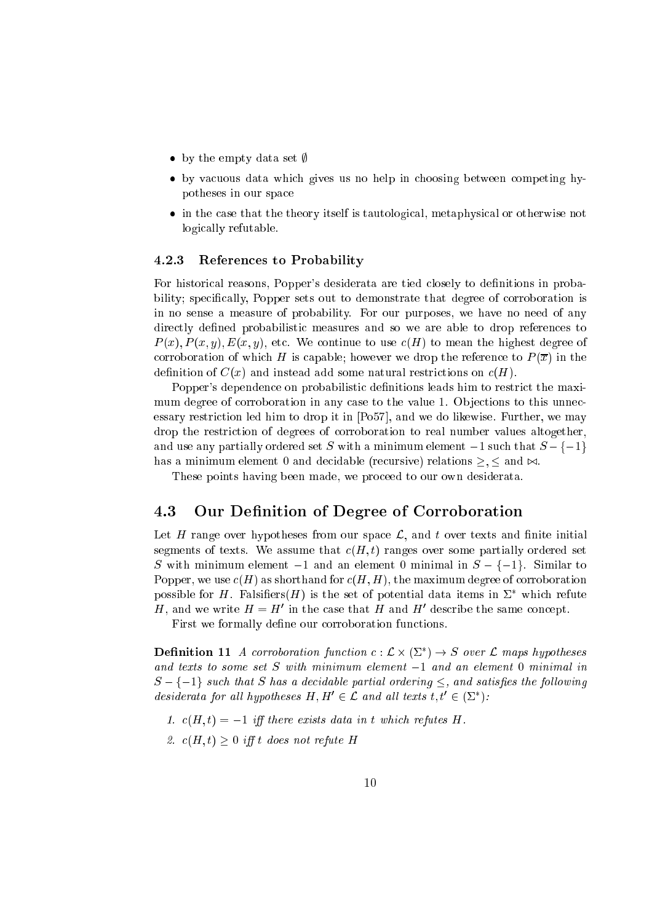- by the empty desired set  $\mu$
- by va
uous data whi
h gives us no help in hoosing between ompeting hypotheses in our spa
e
- in the ase that the theory itself is tautologi
al, metaphysi
al or otherwise not logi
ally refutable.

#### References to Probability 4.2.3

For historical reasons, Popper's desiderata are tied closely to definitions in probability; spe
i
ally, Popper sets out to demonstrate that degree of orroboration is in no sense <sup>a</sup> measure of probability. For our purposes, we have no need of any are the probability probabilities are and so we are able to drop to able to able to a society and the sound of  $P(x), P(x, y), E(x, y)$ , etc. We continue to use  $c(H)$  to mean the highest degree of orroboration of whi
h <sup>H</sup> is apable; however we drop the referen
e to <sup>P</sup> (x) in the denition of C(x) and instead add some natural restri
tions on (H).

Popper's dependence on probabilistic definitions leads him to restrict the maximum degree of orroboration in any ase to the value 1. Ob je
tions to this unne
 tion led him to drop it in the strike with the light of the light of the matrix of the strike with  $\alpha$ drop the restri
tion of degrees of orroboration to real number values altogether, and use any particular that S with a minimum element 1 supersonal set  $\sim$  1 supersymmetry 1 supersymmetry in has <sup>a</sup> minimum element <sup>0</sup> and de
idable (re
ursive) relations ; and ./.

These points having been made, we pro
eed to our own desiderata.

#### 4.3Our Denition of Degree of Corroboration

Let <sup>H</sup> range over hypotheses from our spa
e L, and <sup>t</sup> over texts and nite initial segments of texts. We assume that (H; t) ranges over some partially ordered set S with minimum element  $-1$  and an element 0 minimal in  $S - \{-1\}$ . Similar to Popper, we use (H) as shorthand for (H; H), the maximum degree of orroboration possible for  $H$ . Falsiners(H) is the set of potential data items in  $\varSigma$  which refute  $H$ , and we write  $H = H$  in the case that  $H$  and  $H$  describe the same concept.

First we formally dene our orroboration fun
tions.

**Definition 11** A corroboration function  $c: L \times (L) \rightarrow S$  over L maps hypotheses and texts to some set S with minimum element  $-1$  and an element 0 minimal in  $S - \{-1\}$  such that S has a decidable partial ordering  $\leq$ , and satisfies the following desiderata for all hypotheses  $H, H$   $\in$   $L$  and all texts t, t  $\in$  (2 f):

- 1.  $c(H, t) = -1$  iff there exists data in t which refutes H.
- 2.  $c(H, t) > 0$  iff t does not refute H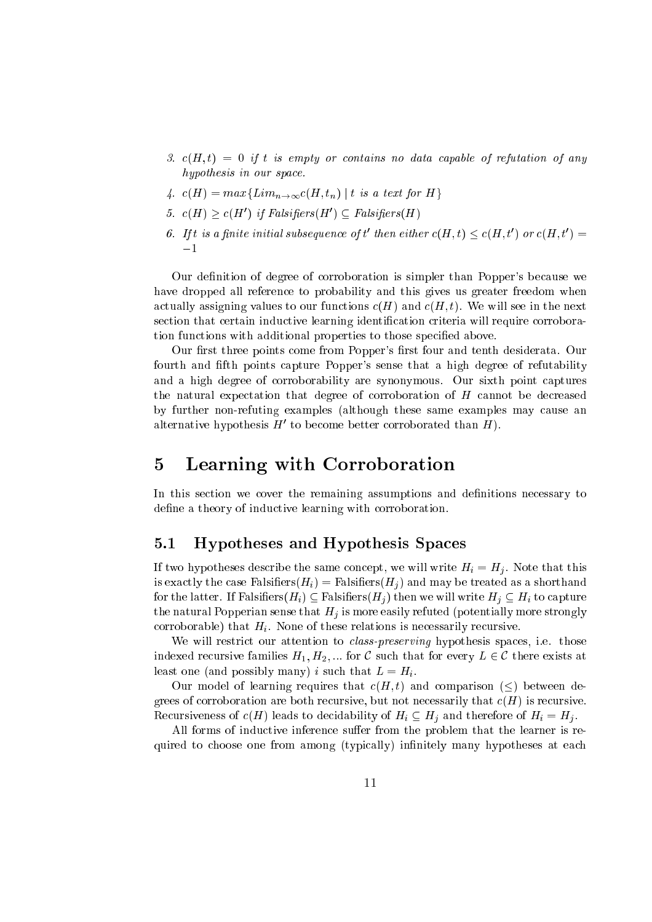- 3.  $c(H,t) = 0$  if t is empty or contains no data capable of refutation of any hypothesis in our space.
- 4.  $c(H) = max\{Lim_{n\rightarrow\infty}c(H,t_n) \mid t \text{ is a text for } H\}$
- 5.  $c(H) \geq c(H')$  if Falsifiers(H')  $\subseteq$  Falsifiers(H)
- 6. If t is a finite initial subsequence of t' then either  $c(H, t) \leq c(H, t')$  or  $c(H, t') =$  $-1$

Our definition of degree of corroboration is simpler than Popper's because we have dropped all reference to probability and this gives us greater freedom when actually assigning values to our functions  $c(H)$  and  $c(H, t)$ . We will see in the next section that certain inductive learning identification criteria will require corroboration functions with additional properties to those specified above.

Our first three points come from Popper's first four and tenth desiderata. Our fourth and fifth points capture Popper's sense that a high degree of refutability and a high degree of corroborability are synonymous. Our sixth point captures the natural expectation that degree of corroboration of  $H$  cannot be decreased by further non-refuting examples (although these same examples may cause an alternative hypothesis  $H'$  to become better corroborated than  $H$ ).

#### Learning with Corroboration  $\overline{5}$

In this section we cover the remaining assumptions and definitions necessary to define a theory of inductive learning with corroboration.

#### $5.1$ Hypotheses and Hypothesis Spaces

If two hypotheses describe the same concept, we will write  $H_i = H_j$ . Note that this is exactly the case Falsifiers  $(H_i)$  = Falsifiers  $(H_i)$  and may be treated as a shorthand for the latter. If Falsifiers $(H_i) \subseteq$  Falsifiers $(H_i)$  then we will write  $H_i \subseteq H_i$  to capture the natural Popperian sense that  $H_j$  is more easily refuted (potentially more strongly corroborable) that  $H_i$ . None of these relations is necessarily recursive.

We will restrict our attention to *class-preserving* hypothesis spaces, i.e. those indexed recursive families  $H_1, H_2, ...$  for C such that for every  $L \in \mathcal{C}$  there exists at least one (and possibly many) i such that  $L = H_i$ .

Our model of learning requires that  $c(H, t)$  and comparison  $(<)$  between degrees of corroboration are both recursive, but not necessarily that  $c(H)$  is recursive. Recursiveness of  $c(H)$  leads to decidebility of  $H_i \subseteq H_j$  and therefore of  $H_i = H_j$ .

All forms of inductive inference suffer from the problem that the learner is required to choose one from among (typically) infinitely many hypotheses at each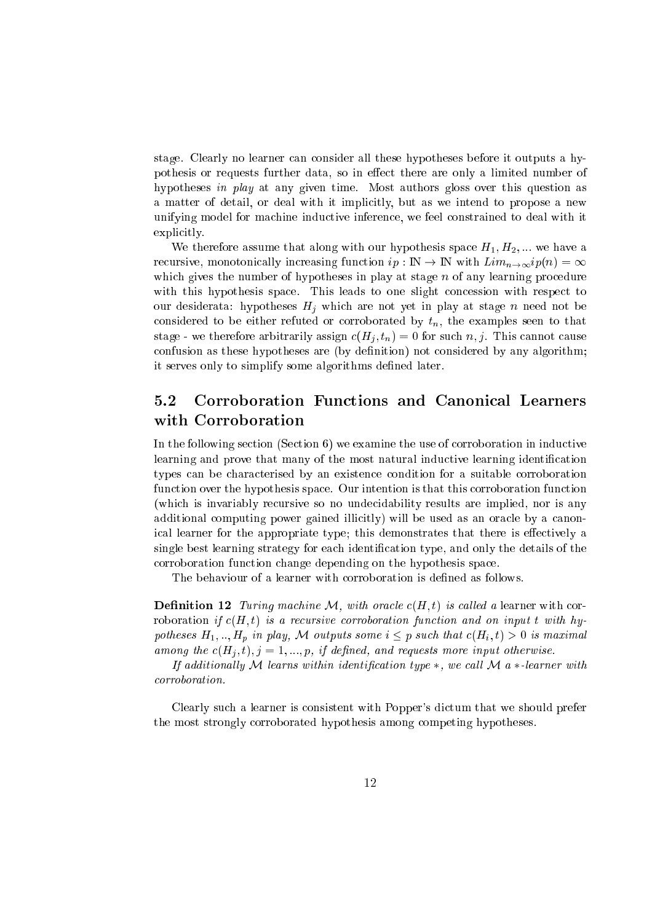stage. Clearly no learner an onsider all these hypotheses before it outputs <sup>a</sup> hypothesis or requests further data, so in ee
t there are only <sup>a</sup> limited number of hypotheses in play at any given time. Most authors gloss over this question as a matter of detail, or deal with it impli
itly, but as we intend to propose <sup>a</sup> new unifying model for machinest model in the second collection is model to deal with its collection of explicitly.

with a structure assume that along with our hypothesis space space of  $\mu$ reasing function in the second company of the second contract  $\mathbf{r}_i$  . In the second contract  $\mathbf{u}$ whi
h gives the number of hypotheses in play at stage <sup>n</sup> of any learning pro
edure with these spaces spaces is spaced to one simple to one show that the same of the space of the society of the our desiderations hypotheses Hi which are not yet in play at stage in player play at onsidered to be either refuted or the either the examples  $\{y_i\}$  the examples seen to that stage - we therefore arbitrarily assign a for  $\mu$  ;  $\mu$  , and such this such a form of  $\mu$ onfusion as these hypotheses are (by denition) not onsidered by any algorithm; it serves only to simplify some algorithms defined as a simplify some algorithms defined later. In this case of  $\mathcal{N}$ 

# 5.2 Corroboration Fun
tions and Canoni
al Learners with Corroboration

In the following se
tion (Se
tion 6) we examine the use of orroboration in indu
tive learning and prove that many of the most natural indu
tive learning identi
ation types an be hara
terised by an existen
e ondition for <sup>a</sup> suitable orroboration fun
tion over the hypothesis spa
e. Our intention is that this orroboration fun
tion (whi
h is invariably re
ursive so no unde
idability results are implied, nor is any additional omputing power gained illi
itly) will be used as an ora
le by <sup>a</sup> anoni
al learner for the appropriate type; this demonstrates that there is ee
tively <sup>a</sup> single best learning strategy for ea
h identi
ation type, and only the details of the orroboration fun
tion hange depending on the hypothesis spa
e.

The behaviour of <sup>a</sup> learner with orroboration is dened as follows.

**Definition 12** Turing machine M, with oracle  $c(H, t)$  is called a learner with corroboration if the first contracts and orroboration function and the sign of the state  $\alpha$  $p$  is that is equal to provide the substitution in  $p$  is that that  $\mathbb{R}$  ,  $\mathbb{R}$  is that  $\mathbb{R}$  is maximally among the (Hj ; t); j <sup>=</sup> 1; :::; p, if dened, and requests more input otherwise.

ation at the learner with the contract of the contract in the contract of the contract of the contract of the c orroboration.

Clearly su
h <sup>a</sup> learner is onsistent with Popper's di
tum that we should prefer the most strongly orroborated hypothesis among ompeting hypotheses.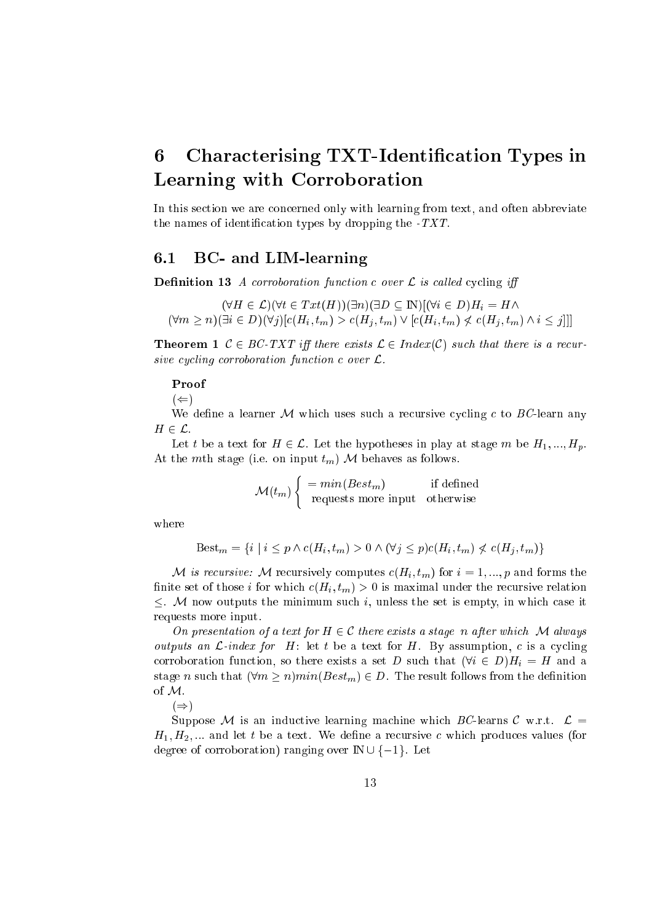### Characterising TXT-Identification Types in 6 Learning with Corroboration

In this section we are concerned only with learning from text, and often abbreviate the names of identification types by dropping the  $-TXT$ .

#### $6.1$ BC- and LIM-learning

**Definition 13** A corroboration function c over  $\mathcal L$  is called cycling iff

 $(\forall H \in \mathcal{L})(\forall t \in Tx t(H))(\exists n)(\exists D \subseteq \mathbb{N})[(\forall i \in D)H_i = H \land$  $(\forall m \geq n)(\exists i \in D)(\forall i)[c(H_i, t_m) > c(H_i, t_m) \vee [c(H_i, t_m) \not\lt c(H_i, t_m) \wedge i \leq j]]]$ 

**Theorem 1**  $C \in BC$ -TXT iff there exists  $\mathcal{L} \in Index(C)$  such that there is a recursive cycling corroboration function c over  $\mathcal{L}$ .

### Proof

 $(\Leftarrow)$ 

We define a learner M which uses such a recursive cycling c to BC-learn any  $H\in\mathcal{L}.$ 

Let t be a text for  $H \in \mathcal{L}$ . Let the hypotheses in play at stage m be  $H_1, ..., H_p$ . At the mth stage (i.e. on input  $t_m$ ) M behaves as follows.

 $\mathcal{M}(t_m)$  =  $min(Best_m)$  if defined<br>requests more input otherwise

where

 $\text{Best}_m = \{i \mid i \leq p \land c(H_i, t_m) > 0 \land (\forall j \leq p) c(H_i, t_m) \nless c(H_i, t_m)\}\$ 

M is recursive: M recursively computes  $c(H_i, t_m)$  for  $i = 1, ..., p$  and forms the finite set of those *i* for which  $c(H_i, t_m) > 0$  is maximal under the recursive relation  $\leq$ . M now outputs the minimum such i, unless the set is empty, in which case it requests more input.

On presentation of a text for  $H \in \mathcal{C}$  there exists a stage n after which M always *outputs an C-index for H*: let t be a text for H. By assumption, c is a cycling corroboration function, so there exists a set D such that  $(\forall i \in D)H_i = H$  and a stage *n* such that  $(\forall m \geq n) min(Best_m) \in D$ . The result follows from the definition of M.

 $(\Rightarrow)$ 

Suppose M is an inductive learning machine which BC-learns C w.r.t.  $\mathcal{L} =$  $H_1, H_2, \dots$  and let t be a text. We define a recursive c which produces values (for degree of corroboration) ranging over  $\mathbb{N} \cup \{-1\}$ . Let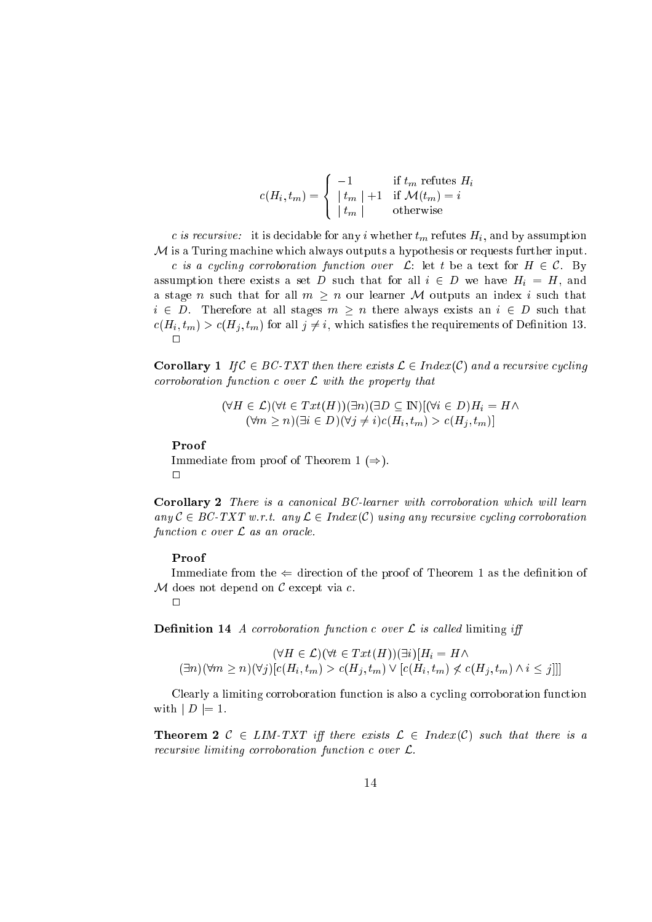$$
c(H_i, t_m) = \begin{cases} -1 & \text{if } t_m \text{ refutes } H_i \\ \left| t_m \right| + 1 & \text{if } \mathcal{M}(t_m) = i \\ \left| t_m \right| & \text{otherwise} \end{cases}
$$

c is recursive: it is decidable for any i whether  $t_m$  refutes  $H_i$ , and by assumption  $M$  is a Turing machine which always outputs a hypothesis or requests further input. c is a cycling corroboration function over  $\mathcal{L}$ : let t be a text for  $H \in \mathcal{C}$ . By assumption that for a set  $\alpha$  such D such that for all  $\alpha$  such that  $\alpha$  and  $\alpha$ a stage <sup>n</sup> su
h that for all <sup>m</sup> <sup>n</sup> our learner <sup>M</sup> outputs an index <sup>i</sup> su
h that  $i \in D$ . Therefore at all stages  $m \geq n$  there always exists an  $i \in D$  such that  $c(H_i, t_m) > c(H_i, t_m)$  for all  $j \neq i$ , which satisfies the requirements of Definition 13.  $\Box$ 

**Corollary 1** If  $C \in BC$ -TXT then there exists  $\mathcal{L} \in Index(C)$  and a recursive cycling  $corroboration\ function\ c\ over\ \mathcal{L}\ with\ the\ property\ that$ 

> $(\forall H \in \mathcal{L})(\forall t \in Txt(H))(\exists n)(\exists D \subseteq \mathbb{N})[(\forall i \in D)H_i = H \wedge$  $(\forall m \geq n)(\exists i \in D)(\forall j \neq i)c(H_i, t_m) > c(H_i, t_m)$

Proof

Immediate from proof of Theorem <sup>1</sup> ()).  $\Box$ 

Corollary 2 There is a canonical BC-learner with corroboration which will learn any  $C \in BC$ -TXT w.r.t. any  $\mathcal{L} \in Index(\mathcal{C})$  using any recursive cycling corroboration function  $c$  over  $\mathcal L$  as an oracle.

#### Proof

Immediate from the ( dire
tion of the proof of Theorem <sup>1</sup> as the denition of  $M$  does not depend on  $C$  except via  $c$ .

 $\Box$ 

**Definition 14** A corroboration function c over  $\mathcal{L}$  is called limiting iff

$$
(\forall H \in \mathcal{L})(\forall t \in T \, xt(H))(\exists i)[H_i = H \land (\exists n)(\forall m \ge n)(\forall j)[c(H_i, t_m) > c(H_j, t_m) \lor [c(H_i, t_m) \not\le c(H_j, t_m) \land i \le j]]]
$$

Clearly <sup>a</sup> limiting orroboration fun
tion is also <sup>a</sup> y
ling orroboration fun
tion  $\cdots$   $\cdots$   $\cdots$   $\cdots$   $\cdots$ 

**Theorem 2**  $C \in \text{LIM-TXT}$  iff there exists  $\mathcal{L} \in \text{Index}(\mathcal{C})$  such that there is a recursive limiting corroboration function c over L.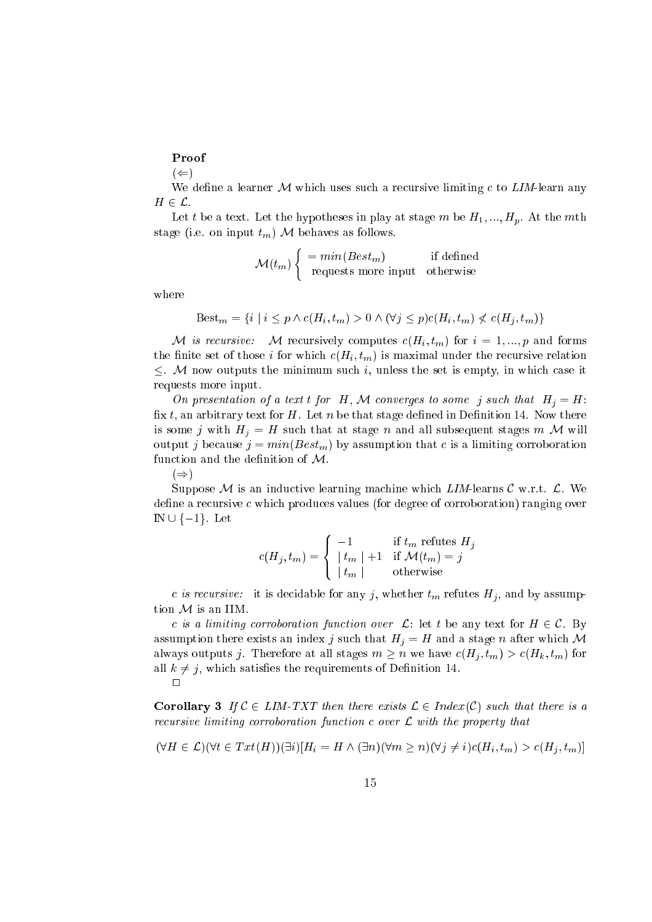### Proof

 $(\Leftarrow)$ 

We define a learner  $M$  which uses such a recursive limiting c to LIM-learn any  $H \in \mathcal{L}$ .

Let t be a text. Let the hypotheses in play at stage m be  $H_1, ..., H_p$ . At the mth stage (i.e. on input  $t_m$ ) M behaves as follows.

$$
\mathcal{M}(t_m) \begin{cases} = min(Best_m) & \text{if defined} \\ \text{ requests more input} & \text{otherwise} \end{cases}
$$

where

$$
\text{Best}_{m} = \{i \mid i \leq p \land c(H_i, t_m) > 0 \land (\forall j \leq p) c(H_i, t_m) \nless c(H_j, t_m)\}
$$

( ) is respectively to the second respectively the internal  $\sim$  (  $\sim$  ) for  $\sim$   $\sim$  1;  $\sim$  1; p and for internal the finite set of those *i* for which  $c(H_i, t_m)$  is maximal under the recursive relation  $\leq$ . M now outputs the minimum such i, unless the set is empty, in which case it requests more input.

On presentation of <sup>a</sup> text <sup>t</sup> for H, <sup>M</sup> onverges to some <sup>j</sup> su
h that Hj <sup>=</sup> H: fix  $t$ , an arbitrary text for  $H$ . Let  $n$  be that stage defined in Definition 14. Now there is some j with  $H_i = H$  such that at stage n and all subsequent stages m M will output j because  $j = min(Best_m)$  by assumption that c is a limiting corroboration function and the definition of  $M$ .

 $(\Rightarrow)$ 

Suppose M is an inductive learning machine which  $LIM$ -learns C w.r.t.  $\mathcal{L}$ . We  $\alpha$  define a recursive c which produces values (for degree of corroboration) ranging over  $\mathbb{N} \cup \{-1\}$ . Let

$$
c(H_j, t_m) = \begin{cases} -1 & \text{if } t_m \text{ refutes } H_j \\ \left| t_m \right| + 1 & \text{if } \mathcal{M}(t_m) = j \\ \left| t_m \right| & \text{otherwise} \end{cases}
$$

c is recursive: it is decidable for any j, whether  $t_m$  refutes  $H_i$ , and by assumption  $M$  is an IIM.

c is a limiting corroboration function over  $\mathcal{L}$ : let t be any text for  $H \in \mathcal{C}$ . By assumption there exists an index j such that  $H_j = H$  and a stage n after which M always outputs j. Therefore at all stages  $m \geq n$  we have  $c(H_i, t_m) > c(H_k, t_m)$  for all  $k \neq j$ , which satisfies the requirements of Definition 14.  $\Box$ 

**Corollary 3** If  $C \in \text{LIM-TXT}$  then there exists  $\mathcal{L} \in \text{Index}(C)$  such that there is a rection tion tion of the property interest and the property property that the property of the property of the

$$
(\forall H \in \mathcal{L})(\forall t \in Tx(t(H))(\exists i)[H_i = H \land (\exists n)(\forall m \ge n)(\forall j \ne i)c(H_i, t_m) > c(H_j, t_m)]
$$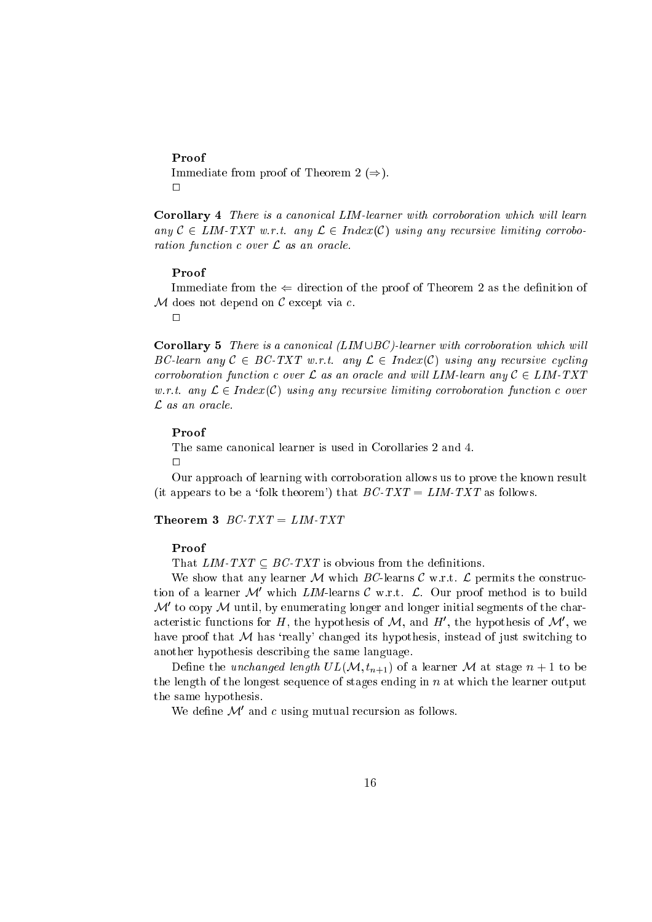Immediate from proof of Theorem <sup>2</sup> ()).  $\Box$ 

Corollary 4 There is a canonical LIM-learner with corroboration which will learn any C 2 <del>Limiting and any any L 2</del> index(C) using any resort control to the state ration fun
tion over <sup>L</sup> as an ora
le.

#### Proof

Immediate from the ( dire
tion of the proof of Theorem <sup>2</sup> as the denition of  $M$  does not depend on  $C$  except via  $c$ .

 $\Box$ 

**Corollary 5** There is a canonical  $(LIM \cup BC)$ -learner with corroboration which will BC-learn any <sup>C</sup> <sup>2</sup> BC-TXT w.r.t. any <sup>L</sup> <sup>2</sup> Index(C) using any re
ursive y
ling orroboration function and will me and will meet with the complete state and any  $\mathcal{L} = \mathcal{L}$ orritor any  $\alpha$  corresponding any respective correction function function function function function  $\mathcal{L}$  as an oracle.

#### Proof

Our approa
h of learning with orroboration allows us to prove the known result (it appears to be a 'folk theorem') that  $BC-TXT = LIM-TXT$  as follows.

Theorem 3  $BC-TXT = LIM-TXT$ 

### $Proof$

That LIM-TXT BC-TXT is obvious from the denitions.

which are the company learns that  $\mathcal{M}$  which is a constructed with the permits the company of the company tion of a learner  $\mathcal{M}$  which  $LIM$ -learns C w.r.t.  $\mathcal{L}$ . Our proof method is to build  $\mathcal{M}$  to copy  $\mathcal{M}$  until, by enumerating longer and longer initial segments of the characteristic functions for  $H$ , the hypothesis of  $\mathcal{M},$  and  $H$  , the hypothesis of  $\mathcal{M}$  , we have proof that  $M$  has 'really' changed its hypothesis, instead of just switching to another hypothesis des
ribing the same language.

 $\blacksquare$  denote the understanding the unit of  $\blacksquare$  of a learner  $\blacksquare$  . The state of a learner matrix  $\blacksquare$ the length of the longest sequen
e of stages ending in <sup>n</sup> at whi
h the learner output the same hypothesis.

we define  $\mathcal{M}$  and c using mutual recursion as follows.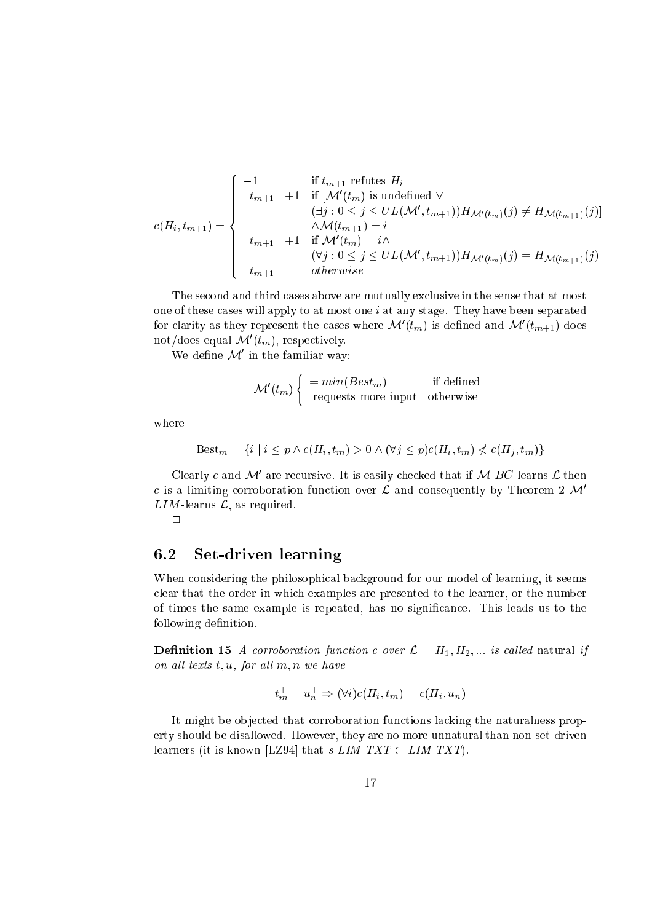$$
c(H_i, t_{m+1}) = \begin{cases}\n-1 & \text{if } t_{m+1} \text{ reflects } H_i \\
\mid t_{m+1} \mid +1 & \text{if } [\mathcal{M}'(t_m) \text{ is undefined } \vee \\
( \exists j : 0 \leq j \leq UL(\mathcal{M}', t_{m+1})) H_{\mathcal{M}'(t_m)}(j) \neq H_{\mathcal{M}(t_{m+1})}(j)] \\
\mid t_{m+1} \mid +1 & \text{if } \mathcal{M}'(t_m) = i \wedge \\
( \forall j : 0 \leq j \leq UL(\mathcal{M}', t_{m+1})) H_{\mathcal{M}'(t_m)}(j) = H_{\mathcal{M}(t_{m+1})}(j) \\
\mid t_{m+1} \mid & \text{otherwise}\n\end{cases}
$$

The se
ond and third ases above are mutually ex
lusive in the sense that at most one of these ases will apply to at most one <sup>i</sup> at any stage. They have been separated for clarity as they represent the cases where  $\mathcal{M}(t_m)$  is defined and  $\mathcal{M}(t_{m+1})$  does not/does equal  $\mathcal{M}(t_m)$ , respectively.

we denne ve in the familiar way:

$$
\mathcal{M}'(t_m) \begin{cases} = min(Best_m) & \text{if defined} \\ \text{ requests more input} & \text{otherwise} \end{cases}
$$

where

$$
Best_m = \{ i \mid i \le p \land c(H_i, t_m) > 0 \land (\forall j \le p) c(H_i, t_m) \nless c(H_j, t_m) \}
$$

Clearly c and M are recursive. It is easily checked that if M BC-learns  $\mathcal L$  then c is a limiting corroboration function over  $\mathcal L$  and consequently by Theorem 2  $\mathcal M'$  $LIM$ -learns  $\mathcal{L}$ , as required.

 $\Box$ 

#### 6.2Set-driven learning

when the philosophie philosophie is seen of the philosophie of the seed of learning, it seems are in lear that the order in whi
h examples are presented to the learner, or the number of times the same example is repeated, has no signi
an
e. This leads us to the following denition.

**Definition 15** A corroboration function c over  $\mathcal{L} = H_1, H_2, ...$  is called natural if on all texts t, u, for all  $m, n$  we have

$$
t_m^+ = u_n^+ \Rightarrow (\forall i)c(H_i, t_m) = c(H_i, u_n)
$$

It might be ob je
ted that orroboration fun
tions la
king the naturalness property should be disallowed. However, they are no more unnatural than non-set-driven learners (it is known [LZ94] that s-LIM-TXT  $\subset$  LIM-TXT).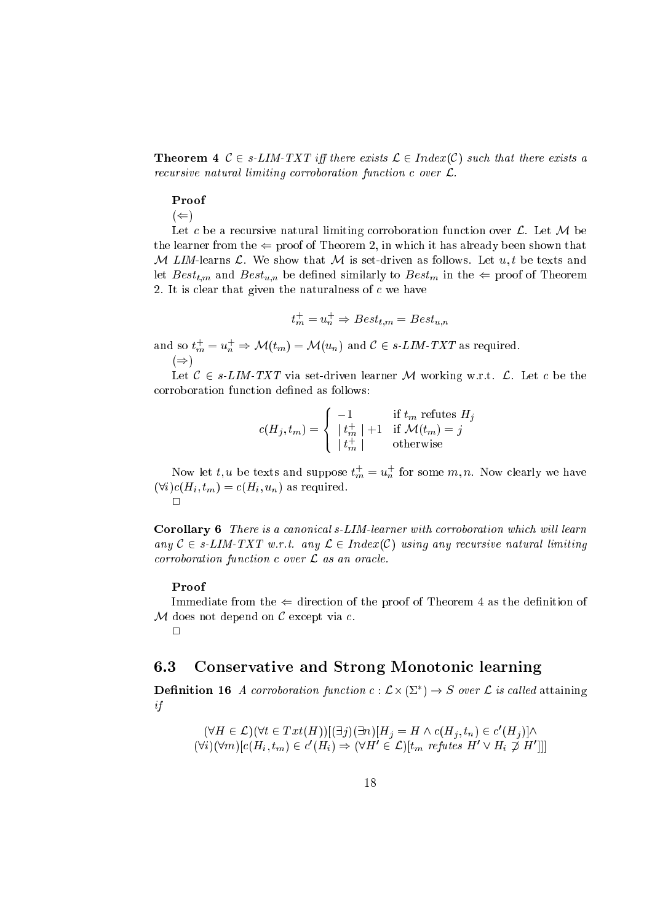**Theorem 4**  $C \in s\text{-}LIM-TXT$  iff there exists  $C \in Index(C)$  such that there exists a recursive natural limiting corroboration function c over L.

#### Proof

 $(\Leftarrow)$ 

Let be <sup>a</sup> re
ursive natural limiting orroboration fun
tion over L. Let <sup>M</sup> be the learner from the ( proof of Theorem 2, in whi
h it has already been shown that M LIM-learns  $\mathcal L$ . We show that M is set-driven as follows. Let  $u, t$  be texts and let Best  $\mu$  and Best  $\mu$  and Best under similar similarly to  $\mu$  contains  $\mu$  and  $\mu$  proof of Theorem  $\mathcal{L}$ 

$$
t_m^+ = u_n^+ \Rightarrow Best_{t,m} = Best_{u,n}
$$

and so  $t_m = u_n \Rightarrow \mathcal{M}(t_m) = \mathcal{M}(u_n)$  and  $\mathcal{L} \in s\text{-}LIM\text{-}LAL$  as required.  $(\Rightarrow)$ 

Let <sup>C</sup> <sup>2</sup> s-LIM-TXT via set-driven learner <sup>M</sup> working w.r.t. L. Let be the

$$
c(H_j, t_m) = \begin{cases} -1 & \text{if } t_m \text{ relates } H_j \\ \left| t_m^+ \right| + 1 & \text{if } \mathcal{M}(t_m) = j \\ \left| t_m^+ \right| & \text{otherwise} \end{cases}
$$

Now fet t, u be texts and suppose  $\iota_m = u_n$  for some  $m, n$ . Now clearly we have  $(\forall i) c(H_i, t_m) = c(H_i, u_n)$  as required.

Corollary 6 There is a canonical s-LIM-learner with corroboration which will learn any  $C \in s\text{-}LIM\text{-}TXT$  w.r.t. any  $\mathcal{L} \in Index(C)$  using any recursive natural limiting  $corroboration function c over \mathcal{L}$  as an oracle.

#### Proof

Immediate from the ( dire
tion of the proof of Theorem <sup>4</sup> as the denition of  $M$  does not depend on  $C$  except via  $c$ .

 $\Box$ 

#### 6.3 Conservative and Strong Monotoni learning

**Definition to** A corroboration function  $c: L \times (2) \rightarrow S$  over L is called attaining if

$$
(\forall H \in \mathcal{L})(\forall t \in Txt(H))[(\exists j)(\exists n)[H_j = H \land c(H_j, t_n) \in c'(H_j)] \land (\forall i)(\forall m)[c(H_i, t_m) \in c'(H_i) \Rightarrow (\forall H' \in \mathcal{L})[t_m \text{ refutes } H' \lor H_i \not\supset H']]]
$$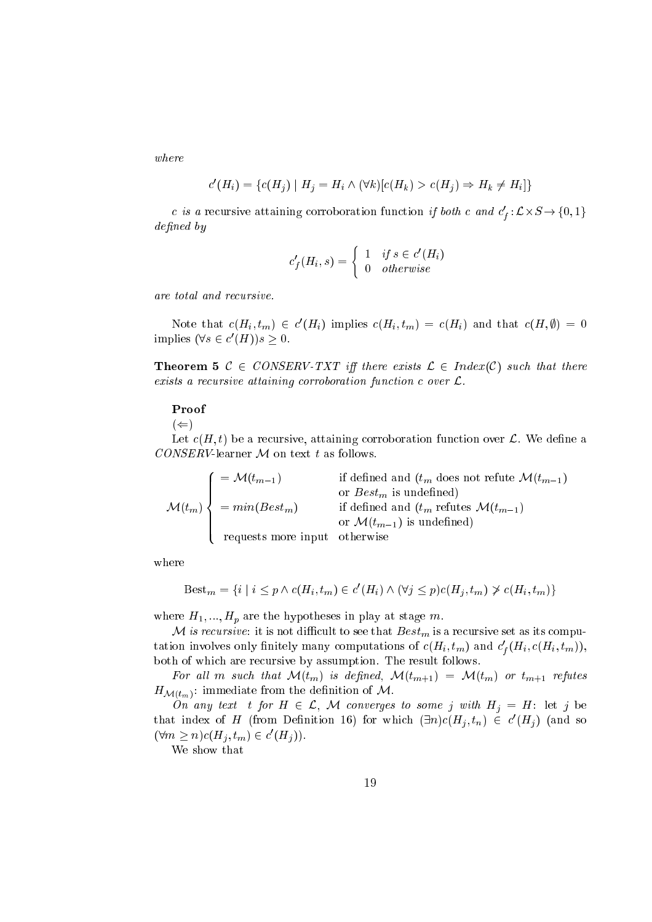$$
c'(H_i) = \{c(H_j) \mid H_j = H_i \land (\forall k)[c(H_k) > c(H_j) \Rightarrow H_k \neq H_i]\}
$$

c is a recursive attaining corroboration function if *both* c and  $c_f$ : $L \times S \rightarrow \{0, 1\}$ <sup>f</sup> dened by

$$
c'_{f}(H_i, s) = \begin{cases} 1 & if s \in c'(H_i) \\ 0 & otherwise \end{cases}
$$

Note that  $c(H_i, t_m) \in c(H_i)$  implies  $c(H_i, t_m) = c(H_i)$  and that  $c(H, \theta) = 0$ implies  $(\forall s \in c \mid H)$  is  $\geq 0$ .

**Theorem 5**  $C \in CONSERV-TXT$  iff there exists  $\mathcal{L} \in Index(C)$  such that there exists <sup>a</sup> re
ursive attaining orroboration fun
tion over L.

#### Proof

 $\cdots$ 

Let (H; t) be <sup>a</sup> re
ursive, attaining orroboration fun
tion over L. We dene <sup>a</sup> CONSERV-learner <sup>M</sup> on text <sup>t</sup> as follows.

$$
\mathcal{M}(t_m) \left\{\begin{array}{ll}\n=\mathcal{M}(t_{m-1}) & \text{if defined and } (t_m \text{ does not refine } \mathcal{M}(t_{m-1}) \\
\text{or } Best_m \text{ is undefined}) \\
= min(Best_m) & \text{if defined and } (t_m \text{ refutes } \mathcal{M}(t_{m-1}) \\
\text{or } \mathcal{M}(t_{m-1}) \text{ is undefined}) \\
\text{requests more input} & \text{otherwise}\n\end{array}\right.
$$

$$
Best_m = \{ i \mid i \leq p \land c(H_i, t_m) \in c'(H_i) \land (\forall j \leq p) c(H_j, t_m) \not\geq c(H_i, t_m) \}
$$

where H1;  $:$  the hypotheses in play at state measurement in play at state  $\rho$  and  $\rho$ 

, it is respectively to see that the set of the set  $\alpha$  respectively. It is a respective set as its seed position tation involves only inhitely many computations of  $c(\boldsymbol{\varPi}_i, \iota_m)$  and  $c_f(\boldsymbol{\varPi}_i, c(\boldsymbol{\varPi}_i, \iota_m))$ , both of whi
h are re
ursive by assumption. The result follows.

 $\mathbf{F} = \mathbf{F} \mathbf{F} + \mathbf{F} \mathbf{B} \mathbf{F} + \mathbf{F} \mathbf{F} + \mathbf{F} \mathbf{B} \mathbf{F} + \mathbf{F} \mathbf{F} + \mathbf{F} \mathbf{B} \mathbf{F} + \mathbf{F} \mathbf{F} + \mathbf{F} \mathbf{B} \mathbf{F} + \mathbf{F} \mathbf{F} + \mathbf{F} \mathbf{F} + \mathbf{F} \mathbf{F} + \mathbf{F} \mathbf{F} + \mathbf{F} \mathbf{F} + \mathbf{F} \mathbf{F} + \mathbf{F} \$  $H_{\mathcal{M}(t_m)}$ : immediate from the definition of M.

On any text <sup>t</sup> for <sup>H</sup> <sup>2</sup> L, <sup>M</sup> onverges to some <sup>j</sup> with Hj <sup>=</sup> H: let <sup>j</sup> be that moex of H (from Definition 10) for which  $(\exists n) c(H_i, t_n) \in c(H_i)$  (and so  $(\forall m \geq n) c(H_i, t_m) \in C(H_i)).$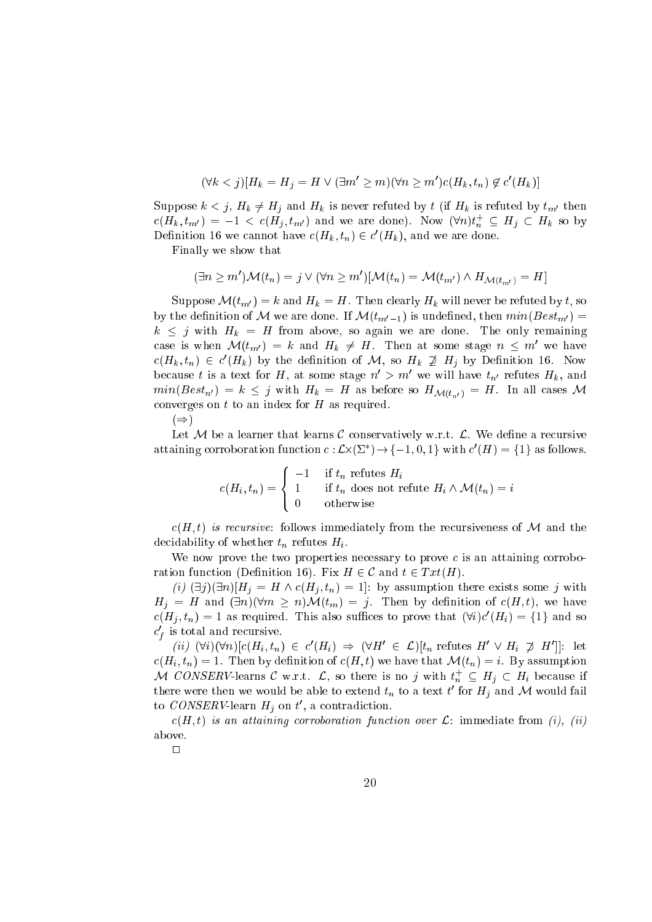$$
(\forall k < j)[H_k = H_j = H \lor (\exists m' \ge m)(\forall n \ge m')c(H_k, t_n) \notin c'(H_k)]
$$

 $S$ uppose  $k \rightarrow j$ , H<sub>k</sub>  $j = 1$  and H<sub>k</sub> is never refuted by the H<sub>k</sub> is refuted by the  $m$  $c(H_k, t_{m'}) = -1 < c(H_j, t_{m'})$  and we are done). Now  $(\forall n) t_n \subseteq H_j \subseteq H_k$  so by Definition to we cannot have  $c(\pi_k, \iota_n) \in c(\pi_k)$ , and we are done.

Finally we show that

$$
(\exists n \geq m')\mathcal{M}(t_n) = j \vee (\forall n \geq m')[\mathcal{M}(t_n) = \mathcal{M}(t_{m'}) \wedge H_{\mathcal{M}(t_{m'})} = H]
$$

 $\mathcal{S}$ uppose  $\mathcal{S}$  (the  $\mathcal{S}$  )  $\mathcal{S}$  and  $\mathcal{S}$  = Henrich decay is a refuted by the solution by the solution by the solution by the solution of  $\mathcal{S}$  $\sim$  , the demitter of  $\mathcal{M}$  we are done. If  $\mathcal{M}(\mathcal{M}) = \cup_{i=1}^n \cup \{1, 2, \ldots, n\}$  , we are defined in  $k \leq j$  with  $H_k = H$  from above, so again we are done. The only remaining case is when  $\mathcal{M}(t_{m'}) = \kappa$  and  $H_k \neq H$ . Then at some stage  $n \leq m$  we have  $c(H_k, t_n) \in c(H_k)$  by the definition of M, so  $H_k \nsubseteq H_j$  by Definition 16. Now because t is a text for  $\pi$ , at some stage  $n > m$  we will have  $t_n$  refutes  $\pi_k$ , and  $\sum_{i=1}^n k_i$  is  $\sum_{i=1}^n k_i$  in  $\sum_{i=1}^n k_i$  in as before so  $\sum_{i=1}^n N(\{v_{n,i}\})$  in the all cases  $\sum_{i=1}^n k_i$ onverges on the total converges on the total converges on the total converges on the total converges on the to

 $\cdots$ 

Let <sup>M</sup> be <sup>a</sup> learner that learns <sup>C</sup> onservatively w.r.t. L. We dene <sup>a</sup> re
ursive attaining corroboration function  $c: L \times (Z \to \to \{ -1, 0, 1 \}$  with  $c$  ( $\pi$  )  $=$   $\{1\}$  as follows.

> $\mathbf{A}$  ,  $\mathbf{B}$  ,  $\mathbf{B}$  ,  $\mathbf{B}$  ,  $\mathbf{B}$ - - $\blacksquare$ >: 1 if tn refutes Hi 1 if the does not refute Himsels in does not refute Himsels in the interval  $\mu$  multiple Himsels in the interval of the interval  $\mu$

 $c(H, t)$  is recursive: follows immediately from the recursiveness of M and the de is a contract of whether the filling of the contract of the second state of the second state of the second s

we now prove the two properties networks, is prove the three contracting to prove ration fun
tion (Denition 16). Fix <sup>H</sup> <sup>2</sup> <sup>C</sup> and <sup>t</sup> <sup>2</sup> T xt(H).

(i) (9j)(9n)[Hj <sup>=</sup> <sup>H</sup> ^ (Hj ; tn) <sup>=</sup> 1℄: by assumption there exists some <sup>j</sup> with  $H_j = H$  and  $(\exists n)(\forall m \ge n) \mathcal{M}(t_m) = j$ . Then by definition of  $c(H, t)$ , we have  $c(n_i, t_n) = 1$  as required. This also suffices to prove that  $(vi)c(n_i) = 1$  and so  $c_{\,\ell}$  is total and recursive.

 $(u)$   $(\forall i)(\forall n)[c(H_i,t_n)] \in c(H_i) \Rightarrow (\forall H \in \mathcal{L})[t_n]$  refutes  $H \vee H_i \not\supseteq H$  ||: let  $c(H_i, t_n) = 1$ . Then by definition of  $c(H, t)$  we have that  $\mathcal{M}(t_n) = i$ . By assumption M CONSERV-learns C w.r.t. L, so there is no j with  $\iota_n \subseteq H_i \subset H_i$  because if there were then we would be able to extend  $\iota_n$  to a text  $\iota$  for  $\boldsymbol{\Pi}_j$  and  $\mathcal{M}$  would fail to  $\epsilon$ *Olv* $\delta$ *ERV*-learn  $\pi_i$  on  $\iota$ , a contradiction.

 $c(H,t)$  is an attaining corroboration function over  $\mathcal{L}$ : immediate from (i), (ii) above.

 $\Box$ 

 $\mathbf{r}$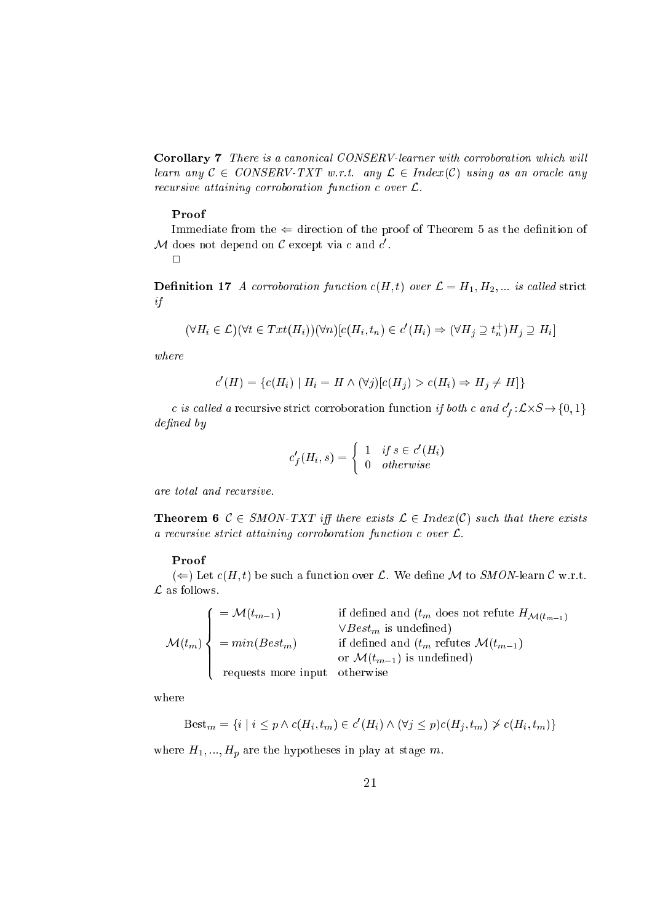Corollary 7 There is a canonical CONSERV-learner with corroboration which will learn any  $C \in CONSERV-TXT$  w.r.t. any  $\mathcal{L} \in Index(C)$  using as an oracle any recursive attaining corroboration function c over L.

### Proof

Immediate from the ( dire
tion of the proof of Theorem <sup>5</sup> as the denition of  $\mathcal M$  does not depend on  $\mathcal C$  except via  $c$  and  $c$  .  $\Box$ 

**Definition 17** A corroboration function  $c(H,t)$  over  $\mathcal{L} = H_1, H_2, ...$  is called strict if

$$
(\forall H_i \in \mathcal{L})(\forall t \in Tx t(H_i))(\forall n)[c(H_i, t_n) \in c'(H_i) \Rightarrow (\forall H_j \supseteq t_n^+)H_j \supseteq H_i]
$$

where

$$
c'(H) = \{c(H_i) \mid H_i = H \land (\forall j)[c(H_i) > c(H_i) \Rightarrow H_i \neq H]\}
$$

c is canea a recursive strict corroboration function if both c and  $c_f$ :  $L \times S \rightarrow \{0, 1\}$  $defined\ by$ 

$$
c'_{f}(H_i, s) = \begin{cases} 1 & if s \in c'(H_i) \\ 0 & otherwise \end{cases}
$$

are total and recursive.

**Theorem 6**  $C \in SMON-TXT$  iff there exists  $\mathcal{L} \in Index(C)$  such that there exists a recursive strict attaining corroboration function  $c$  over  $\mathcal{L}$ .

#### Proof

 $\mathcal{L}$  ,  $\mathcal{L}$  are such that the substitution over  $\mathcal{L}$  . We define the substitution of  $\mathcal{L}$ 

$$
\mathcal{M}(t_m) \left\{ \begin{array}{ll} = \mathcal{M}(t_{m-1}) & \text{if defined and } (t_m \text{ does not refine } H_{\mathcal{M}(t_{m-1})}) \\ & \vee Best_m \text{ is undefined} \\ = min(Best_m) & \text{if defined and } (t_m \text{ refutes } \mathcal{M}(t_{m-1}) \\ & \text{or } \mathcal{M}(t_{m-1}) \text{ is undefined} \end{array} \right.
$$

 $\cdots$  where  $\cdots$ 

$$
Best_m = \{ i \mid i \le p \land c(H_i, t_m) \in c'(H_i) \land (\forall j \le p) c(H_j, t_m) \not\ge c(H_i, t_m) \}
$$

where H1;  $:$  the hypotheses in play at state measurement in play at state  $\rho$  and  $\rho$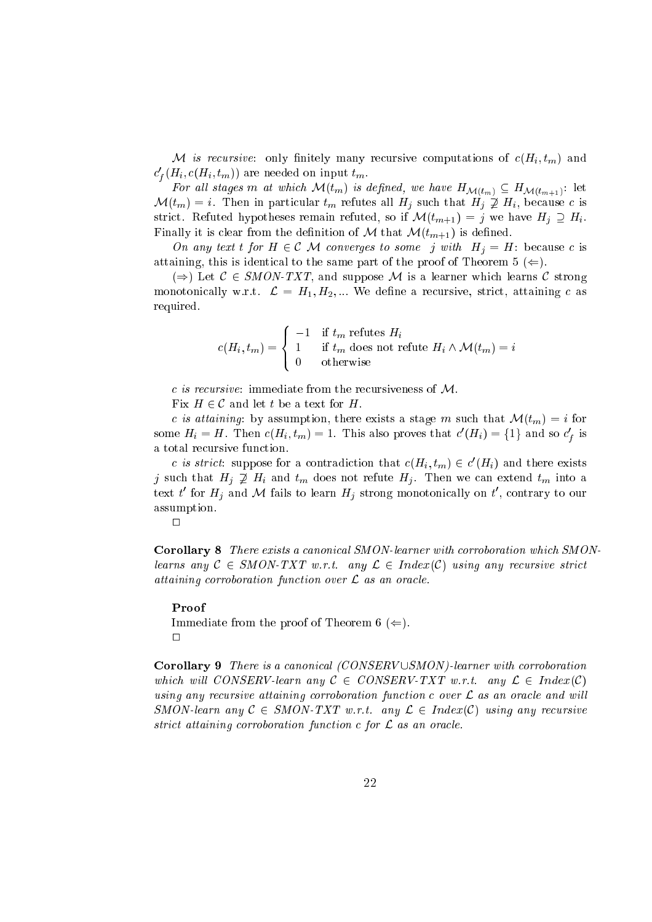where the contract computations  $\mu$  contracts to contract the contract of  $\alpha$  (  $\mu$  ;  $\mu$  ) and the  $c_f(n_i, c(n_i, \iota_m))$  are needed on input  $\iota_m$ .

For all stages means when  $\bullet$  (single stages) is defined for  $\bullet$   $\bullet$   $\bullet$   $\bullet$  $\mathcal{M}(t_m) = i$ . Then in particular  $t_m$  refutes all  $H_j$  such that  $H_j \not\supseteq H_i$ , because c is strikt avonet van dypertuur refuted het met de futes remains  $\mathcal{A}(\cdot|t)$  is just the Hill  $\mathcal{A}(\cdot|t)$ Finally it is lear from the denition of <sup>M</sup> that M(tm+1) is dened.

on any text t for H 2 C M 2 C M 2 C M 2 C M 2 C M 2 C M 2 C M 2 C M 2 C M 2 C M 2 C M 2 C M 2 C M 2 C M 2 C M attaining, the same part of the same part of the proof of the proof of the proof of  $\mathcal{C}$ 

()) Let <sup>C</sup> <sup>2</sup> SMON-TXT, and suppose <sup>M</sup> is <sup>a</sup> learner whi
h learns <sup>C</sup> strong monotonially w.r.t. And the H1; H2; w.r.t. We define a resource the forest process and the Angles and required.

$$
c(H_i,t_m) = \left\{ \begin{array}{ll} -1 & \text{if } t_m \text{ refutes } H_i \\ 1 & \text{if } t_m \text{ does not refute } H_i \wedge \mathcal{M}(t_m) = i \\ 0 & \text{otherwise} \end{array} \right.
$$

c is recursive: immediate from the recursiveness of  $M$ .

Fix <sup>H</sup> <sup>2</sup> <sup>C</sup> and let <sup>t</sup> be <sup>a</sup> text for H.

c is attaining: by assumption, there exists a stage m such that  $\mathcal{M}(t_m) = i$  for some  $H_i = H$ . Then  $c(H_i, t_m) = 1$ . This also proves that  $c(H_i) = \{1\}$  and so  $c_f$  is

c is strict: suppose for a contradiction that  $c(H_i, t_m) \in c(H_i)$  and there exists j such that  $H_j \nsubseteq H_i$  and  $t_m$  does not refute  $H_j$ . Then we can extend  $t_m$  into a text t for  $\pi_i$  and  $\pi$  fails to learn  $\pi_j$  strong monotonically on t, contrary to our assumption.

Corollary 8 There exists a canonical SMON-learner with corroboration which SMONlearns any C 2 Section 2 Indian and the strike strike the contract with any resources and resources attaining orroboration fun
tion over <sup>L</sup> as an ora
le.

Proof

Immediate from the proof of Theorem <sup>6</sup> (().  $\Box$ 

Corollary 9 There is a canonical (CONSERV USMON)-learner with corroboration will be well as a conserved of the conservation and conserved any  $\mathcal{L}=\{0,1\}$ using only resources orroboration attaining attaining possible attaining one over a route and will SMON-learn any <sup>C</sup> <sup>2</sup> SMON-TXT w.r.t. any <sup>L</sup> <sup>2</sup> Index(C) using any re
ursive stri
t attaining orroboration fun
tion for <sup>L</sup> as an ora
le.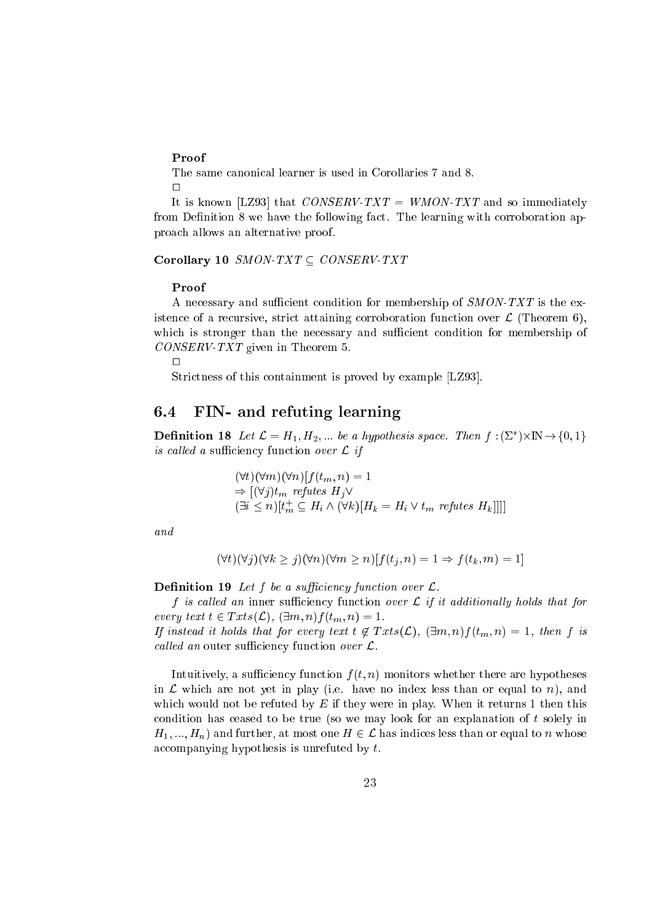#### Proof

The same canonical learner is used in Corollaries 7 and 8.  $\Box$ 

It is known [LZ93] that *CONSERV-TXT* = *WMON-TXT* and so immediately from Definition 8 we have the following fact. The learning with corroboration approach allows an alternative proof.

Corollary 10 SMON-TXT  $\subset$  CONSERV-TXT

#### Proof

A necessary and sufficient condition for membership of SMON-TXT is the existence of a recursive, strict attaining corroboration function over  $\mathcal{L}$  (Theorem 6), which is stronger than the necessary and sufficient condition for membership of  $CONSERV-TXT$  given in Theorem 5.

 $\Box$ 

Strictness of this containment is proved by example [LZ93].

#### 6.4 FIN- and refuting learning

**Definition 18** Let  $\mathcal{L} = H_1, H_2, ...$  be a hypothesis space. Then  $f : (\Sigma^*) \times \mathbb{N} \to \{0, 1\}$ is called a sufficiency function over  $\mathcal L$  if

$$
(\forall t)(\forall m)(\forall n)[f(t_m, n) = 1
$$
  
\n
$$
\Rightarrow [(\forall j)t_m \text{ reflects } H_j \vee
$$
  
\n
$$
(\exists i \le n)[t_m^+ \subseteq H_i \wedge (\forall k)[H_k = H_i \vee t_m \text{ reflects } H_k]]]]
$$

and

$$
(\forall t)(\forall j)(\forall k \ge j)(\forall n)(\forall m \ge n)[f(t_i, n) = 1 \Rightarrow f(t_k, m) = 1]
$$

**Definition 19** Let  $f$  be a sufficiency function over  $\mathcal{L}$ .

f is called an inner sufficiency function over  $\mathcal L$  if it additionally holds that for every text  $t \in Txts(\mathcal{L}), (\exists m, n) f(t_m, n) = 1.$ If instead it holds that for every text  $t \notin Txts(\mathcal{L}), (\exists m,n) f(t_m,n) = 1$ , then f is

called an outer sufficiency function over  $\mathcal{L}$ .

Intuitively, a sufficiency function  $f(t, n)$  monitors whether there are hypotheses in  $\mathcal L$  which are not yet in play (i.e. have no index less than or equal to n), and which would not be refuted by  $E$  if they were in play. When it returns 1 then this condition has ceased to be true (so we may look for an explanation of  $t$  solely in  $H_1, ..., H_n$  and further, at most one  $H \in \mathcal{L}$  has indices less than or equal to n whose accompanying hypothesis is unrefuted by  $t$ .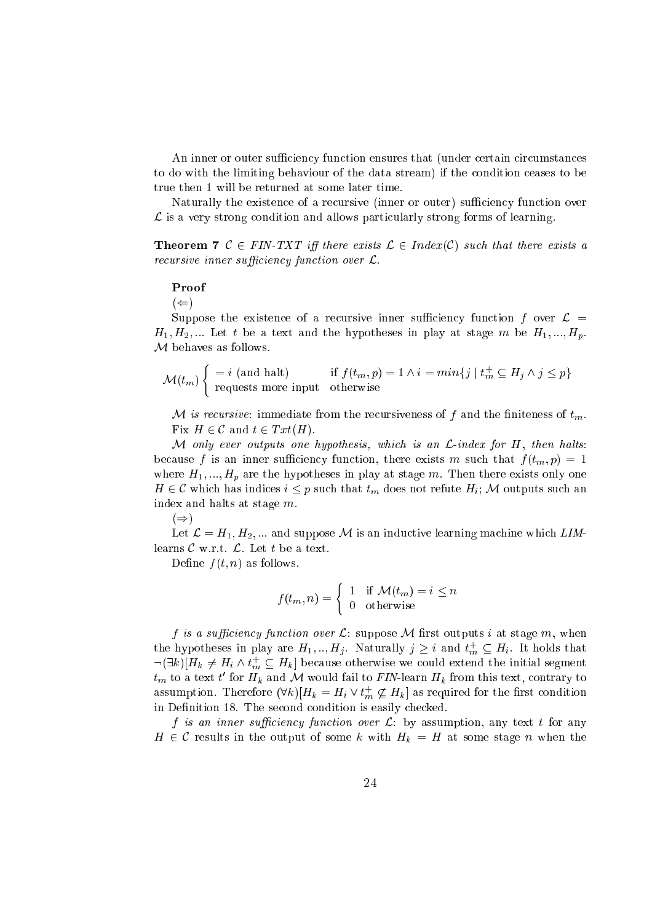An inner or outer sufficiency function ensures that (under certain circumstances to do with the limiting behaviour of the data stream) if the condition ceases to be true then 1 will be returned at some later time.

Naturally the existence of a recursive (inner or outer) sufficiency function over  $\mathcal{L}$  is a very strong condition and allows particularly strong forms of learning.

**Theorem 7**  $C \in FIN-TXT$  iff there exists  $\mathcal{L} \in Index(C)$  such that there exists a recursive inner sufficiency function over  $\mathcal{L}$ .

#### Proof

 $(\Leftarrow)$ 

Suppose the existence of a recursive inner sufficiency function f over  $\mathcal{L} =$  $H_1, H_2,...$  Let t be a text and the hypotheses in play at stage m be  $H_1,...,H_p$ .  $M$  behaves as follows.

$$
\mathcal{M}(t_m) \begin{cases} = i \text{ (and halt)} & \text{if } f(t_m, p) = 1 \land i = \min\{j \mid t_m^+ \subseteq H_j \land j \le p\} \\ \text{ requests more input} & \text{otherwise} \end{cases}
$$

M is recursive: immediate from the recursiveness of f and the finiteness of  $t_m$ . Fix  $H \in \mathcal{C}$  and  $t \in Txt(H)$ .

M only ever outputs one hypothesis, which is an  $\mathcal{L}\text{-}index$  for H, then halts: because f is an inner sufficiency function, there exists m such that  $f(t_m, p) = 1$ where  $H_1, ..., H_p$  are the hypotheses in play at stage m. Then there exists only one  $H \in \mathcal{C}$  which has indices  $i \leq p$  such that  $t_m$  does not refute  $H_i$ ; M outputs such an index and halts at stage  $m$ .

 $(\Rightarrow)$ 

Let  $\mathcal{L} = H_1, H_2, ...$  and suppose M is an inductive learning machine which LIMlearns  $\mathcal C$  w.r.t.  $\mathcal L$ . Let t be a text.

Define  $f(t, n)$  as follows.

$$
f(t_m, n) = \begin{cases} 1 & \text{if } \mathcal{M}(t_m) = i \leq n \\ 0 & \text{otherwise} \end{cases}
$$

f is a sufficiency function over  $\mathcal{L}$ : suppose  $\mathcal M$  first outputs i at stage  $m$ , when the hypotheses in play are  $H_1, ..., H_j$ . Naturally  $j \geq i$  and  $t_m^+ \subseteq H_i$ . It holds that  $\neg(\exists k)[H_k \neq H_i \wedge t_m^+ \subseteq H_k]$  because otherwise we could extend the initial segment  $t_m$  to a text t' for  $H_k$  and M would fail to FIN-learn  $H_k$  from this text, contrary to assumption. Therefore  $(\forall k)[H_k = H_i \vee t_m^+ \not\subseteq H_k]$  as required for the first condition in Definition 18. The second condition is easily checked.

f is an inner sufficiency function over  $\mathcal{L}$ : by assumption, any text t for any  $H \in \mathcal{C}$  results in the output of some k with  $H_k = H$  at some stage n when the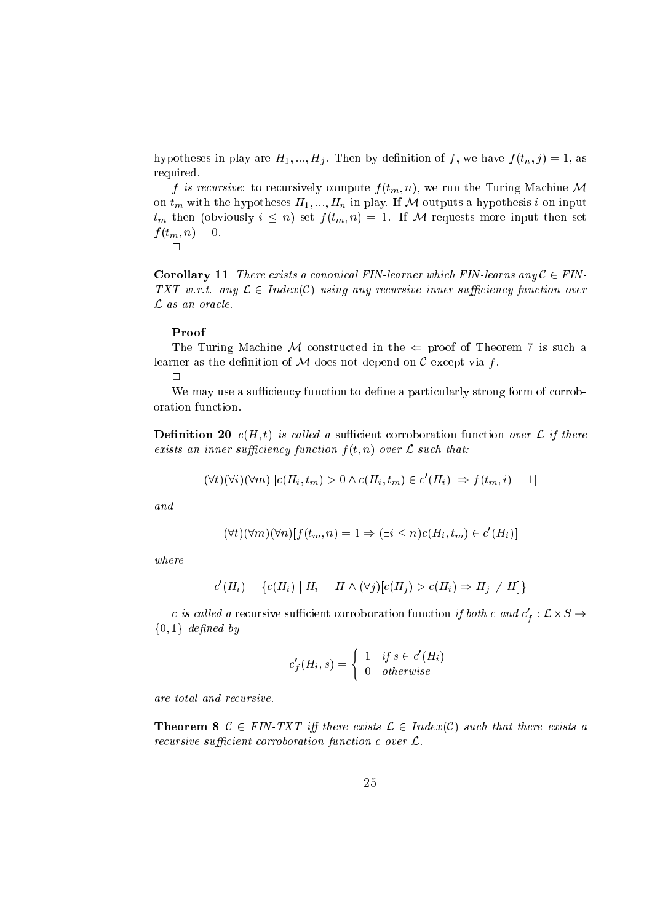hypotheses in play are  $H_1, ..., H_j$ . Then by definition of f, we have  $f(t_n, j) = 1$ , as required.

f is recursive: to recursively compute  $f(t_m, n)$ , we run the Turing Machine M on  $t_m$  with the hypotheses  $H_1, ..., H_n$  in play. If M outputs a hypothesis i on input  $t_m$  then (obviously  $i \leq n$ ) set  $f(t_m, n) = 1$ . If M requests more input then set  $f(t_m, n) = 0.$ 

 $\Box$ 

**Corollary 11** There exists a canonical FIN-learner which FIN-learns any  $C \in FIN$ -TXT w.r.t. any  $\mathcal{L} \in Index(\mathcal{C})$  using any recursive inner sufficiency function over  $\mathcal L$  as an oracle.

#### Proof

The Turing Machine M constructed in the  $\Leftarrow$  proof of Theorem 7 is such a learner as the definition of  $M$  does not depend on  $C$  except via f.

 $\Box$ 

We may use a sufficiency function to define a particularly strong form of corroboration function.

**Definition 20**  $c(H, t)$  is called a sufficient corroboration function over  $\mathcal{L}$  if there exists an inner sufficiency function  $f(t, n)$  over  $\mathcal L$  such that:

$$
(\forall t)(\forall i)(\forall m)[[c(H_i, t_m) > 0 \land c(H_i, t_m) \in c'(H_i)] \Rightarrow f(t_m, i) = 1]
$$

and

$$
(\forall t)(\forall m)(\forall n)[f(t_m, n) = 1 \Rightarrow (\exists i \leq n)c(H_i, t_m) \in c'(H_i)]
$$

 $where$ 

$$
c'(H_i) = \{c(H_i) \mid H_i = H \land (\forall j)[c(H_i) > c(H_i) \Rightarrow H_j \neq H]\}
$$

c is called a recursive sufficient corroboration function if both c and  $c'_f : \mathcal{L} \times S \rightarrow$  $\{0,1\}$  defined by

$$
c'_{f}(H_i, s) = \begin{cases} 1 & if s \in c'(H_i) \\ 0 & otherwise \end{cases}
$$

are total and recursive.

**Theorem 8**  $C \in FIN-TXT$  iff there exists  $\mathcal{L} \in Index(C)$  such that there exists a recursive sufficient corroboration function c over  $\mathcal{L}$ .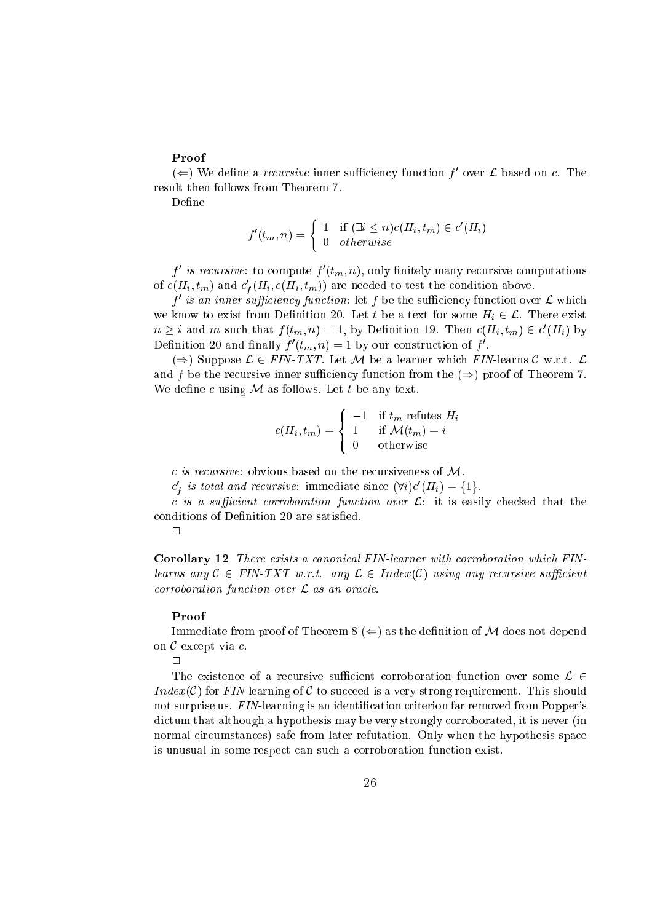$(\Leftarrow)$  we define a *recursive* inner sufficiency function for over  $L$  based on c. The

Define

$$
f'(t_m, n) = \begin{cases} 1 & \text{if } (\exists i \leq n) c(H_i, t_m) \in c'(H_i) \\ 0 & otherwise \end{cases}
$$

 $I$  is recursive: to compute  $I_i$   $(t_m, n)$ , only nilitely many recursive computations of  $c(n_i, t_m)$  and  $c_f(n_i, c(n_i, t_m))$  are needed to test the condition above. <sup>f</sup>

 $\tau$  is an inner sufficiency function: let  $\tau$  be the sufficiency function over  $\mathcal L$  which we know to exist from December 20. Let the above 20. Let the anti-some some Hig. 2 A. December 2002.  $n \geq i$  and m such that  $f(t_m, n) = 1$ , by Dennition 19. Then  $c(H_i, t_m) \in c(H_i)$  by Definition 20 and mailly  $f(u_m, n) = 1$  by our construction of f.

 $\mathcal{L}$  , and the suppose  $\mathcal{L}$  and  $\mathcal{L}$  are a let  $\mathcal{L}$  be a let  $\mathcal{L}$  . Let  $\mathcal{L}$  are a let  $\mathcal{L}$  be a let  $\mathcal{L}$ ien from the resursive in the from the from the from the from the from the from the from the from  $\mu$  , and the from  $\mu$ who define a contract of the second contract of the problems.

$$
c(H_i, t_m) = \begin{cases} -1 & \text{if } t_m \text{ refutes } H_i \\ 1 & \text{if } \mathcal{M}(t_m) = i \\ 0 & \text{otherwise} \end{cases}
$$

 $c$  is recursive: obvious based on the recursiveness of  $M$ .

 $c_f$  is total and recursive: immediate since  $(\forall i)c(\vec{H}_i) = \{1\}$ .

c is a sufficient corroboration function over  $\mathcal{L}$ : it is easily checked that the onditions of Denition <sup>20</sup> are satised.

 $\Box$ 

<sup>f</sup>

Corollary 12 There exists a canonical FIN-learner with corroboration which FINlearns any C 2 Final any L 2 Index and the contract with any L 2 Index and 2 Index and 2 Index and 2 Index any orroboration fun
tion over <sup>L</sup> as an ora
le.

#### Proof

Immediate from proof of Theorem <sup>8</sup> (() as the denition of <sup>M</sup> does not depend on <sup>C</sup> ex
ept via .

 $\Box$ 

The existen
e of <sup>a</sup> re
ursive suÆ
ient orroboration fun
tion over some <sup>L</sup> <sup>2</sup> Index(C) for FIN-learning of C to succeed is a very strong requirement. This should not surprise us. FIN-learning is an identification criterion far removed from Popper's distribution and the hypothesis may be very strongly in the strongly that it is never and the strongly strongly normal ir
umstan
es) safe from later refutation. Only when the hypothesis spa
e is unusual in some respe
t an su
h <sup>a</sup> orroboration fun
tion exist.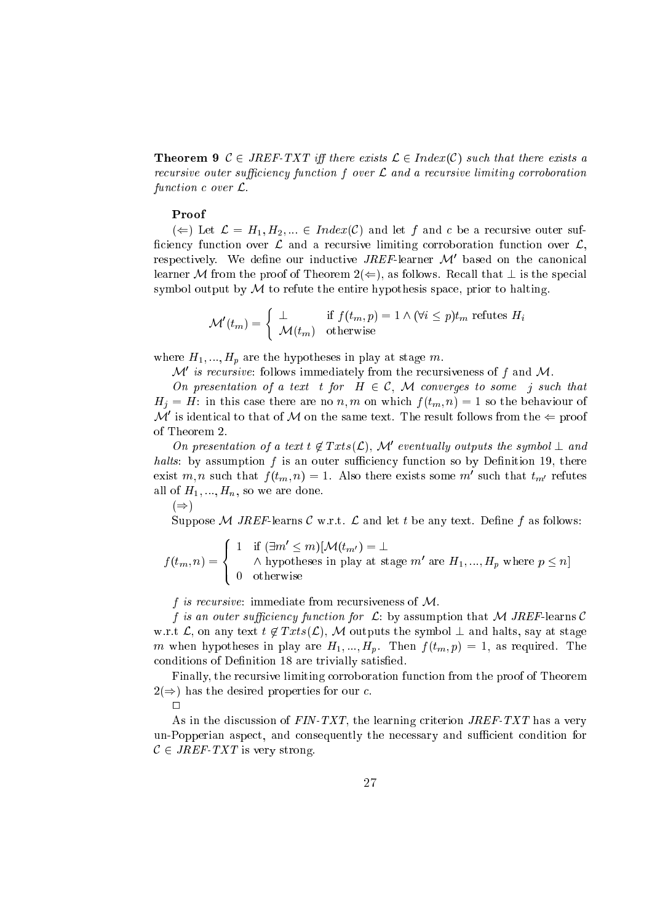**Theorem 9**  $C \in JREF-TXT$  iff there exists  $C \in Index(C)$  such that there exists a re
ursive outer suÆ
ien
y fun
tion <sup>f</sup> over <sup>L</sup> and <sup>a</sup> re
ursive limiting orroboration fun
tion over L.

#### Proof

( $\Leftarrow$ ) Let  $\mathcal{L} = H_1, H_2, ... \in Index(\mathcal{C})$  and let f and c be a recursive outer sufficiency function over  $\mathcal L$  and a recursive limiting corroboration function over  $\mathcal L$ , respectively. We define our inductive  $JREF$ -learner  ${\cal M}$  -based on the canonical learner M from the proof of Theorem  $2(\Leftarrow)$ , as follows. Recall that  $\perp$  is the special symbol output by  $M$  to refute the entire hypothesis space, prior to halting.

$$
\mathcal{M}'(t_m) = \begin{cases} \perp & \text{if } f(t_m, p) = 1 \land (\forall i \le p) t_m \text{ refutes } H_i \\ \mathcal{M}(t_m) & \text{otherwise} \end{cases}
$$

where  $H_1, ..., H_p$  are the hypotheses in play at stage m.

 $\mathcal{M}$  is recursive: follows immediately from the recursiveness of f and  $\mathcal{M}.$ 

On presentation of <sup>a</sup> text <sup>t</sup> for <sup>H</sup> <sup>2</sup> C, <sup>M</sup> onverges to some <sup>j</sup> su
h that  $H_i = H$ : in this case there are no n, m on which  $f(t_m, n) = 1$  so the behaviour of  $\mathcal M$  is identical to that of  $\mathcal M$  on the same text. The result follows from the  $\Leftarrow$  proof of Theorem 2.

On presentation of a text  $t \notin I$  xts( $\mathcal{L}$ ), Me eventually outputs the symbol  $\perp$  and halts: by assumption  $f$  is an outer sufficiency function so by Definition 19, there exist  $m, n$  such that  $f(t_m, n) = 1$ . Also there exists some  $m$  such that  $t_{m'}$  refutes all of  $H_1, ..., H_n$ , so we are done.

 $(\Rightarrow)$ 

Suppose M JREF-learns C w.r.t.  $\mathcal L$  and let t be any text. Define f as follows:

 $f \sim f$  (the figure  $f$ - - $\blacksquare$ >: 1 II ( $\exists m \leq m$ )[ $\mathcal{M}(t_{m'}) = \bot$  $\wedge$  hypotheses in play at stage m are  $H_1, ..., H_p$  where  $p \leq n$ 

f is recursive: immediate from recursiveness of  $M$ .

f is an outer sufficiency function for  $\mathcal{L}$ : by assumption that M JREF-learns C w.r.t  $\mathcal{L}$ , on any text  $t \notin Txts(\mathcal{L})$ , M outputs the symbol  $\perp$  and halts, say at stage m when hypotheses in play are  $H_1, ..., H_p$ . Then  $f(t_m, p) = 1$ , as required. The conditions of Definition 18 are trivially satisfied.

Finally, the recursive limiting corroboration function from the proof of Theorem  $2(\Rightarrow)$  has the desired properties for our c.

 $\Box$ 

As in the discussion of  $FIN-TXT$ , the learning criterion  $JREF-TXT$  has a very un-Popperian aspect, and consequently the necessary and sufficient condition for  $C \in JREF-TXT$  is very strong.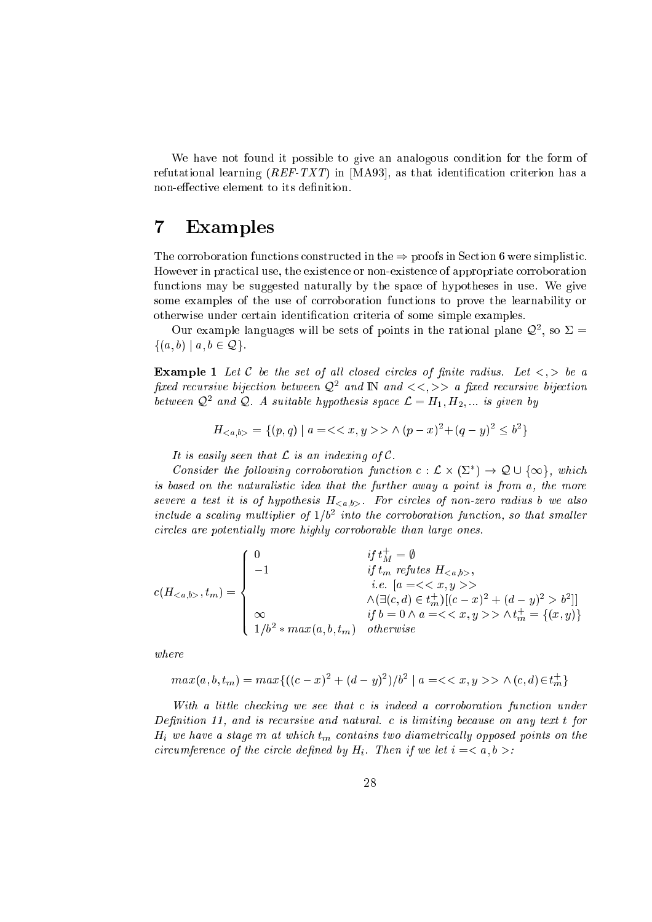We have not found it possible to give an analogous condition for the form of refutational learning  $(REF-TXT)$  in [MA93], as that identification criterion has a non-effective element to its definition.

#### $\overline{7}$ **Examples**

The corroboration functions constructed in the  $\Rightarrow$  proofs in Section 6 were simplistic. However in practical use, the existence or non-existence of appropriate corroboration fun
tions may be suggested naturally by the spa
e of hypotheses in use. We give some examples of the use of corroboration functions to prove the learnability or otherwise under certain identification criteria of some simple examples.

Our example languages will be sets of points in the rational plane  $Q^2$ , so  $\Delta =$  $\{(a, b) \mid a, b \in \mathcal{Q}\}.$ 

**Example 1** Let C be the set of all closed circles of finite radius. Let  $\langle \cdot, \cdot \rangle$  be a  $\mu x$ ea recursive oijection between  $\mathcal{Q}_c$  and  $\mathbb{N}$  and  $\lt<\zeta, >>$  a  $\mu x$ ea recursive oijection between  $\mathcal{Q}$ - and  $\mathcal{Q}$ . A suitable hypothesis space  $\mathcal{L} \equiv H_1, H_2, ...$  is given by

$$
H_{< a,b>} = \{(p,q) \mid a = < x, y > \land (p-x)^2 + (q-y)^2 \le b^2\}
$$

It is easily seen that  $\mathcal L$  is an indexing of  $\mathcal C$ .

Consider the following corroboration function  $c: \mathcal{L} \times (\mathcal{L}) \rightarrow \mathcal{Q} \cup {\infty}$ , which is based on the naturalistic idea that the further away a point is from  $a$ , the more severe a test it is of hypothesis  $H_{\langle a,b \rangle}$ . For circles of non-zero radius b we also  $\it uncuae$  a scanny multiplier of  $1/\sigma$   $\it unco$  the corroboration function, so that smaller circles are potentially more highly corroborable than large ones.

$$
c(H_{< a,b>}, t_m) = \begin{cases} 0 & \text{if } t_M^+ = \emptyset \\ -1 & \text{if } t_m \text{ reflects } H_{< a,b>}, \\ & \text{i.e. } [a = < < x, y > > \\ & \wedge (\exists (c,d) \in t_m^+)[(c-x)^2 + (d-y)^2 > b^2]] \\ & \text{if } b = 0 \land a = < < x, y > > \land t_m^+ = \{(x,y)\} \\ 1/b^2 * max(a,b,t_m) & \text{otherwise} \end{cases}
$$

where

$$
max(a, b, t_m) = max\{((c - x)^2 + (d - y)^2)/b^2 \mid a = << x, y > > \land (c, d) \in t_m^+\}
$$

With a little checking we see that c is indeed a corroboration function under Definition 11, and is recursive and natural. c is limiting because on any text t for  $H_i$  we have a stage m at which  $t_m$  contains two diametrically opposed points on the circumference of the circle defined by  $H_i$ . Then if we let  $i =$ :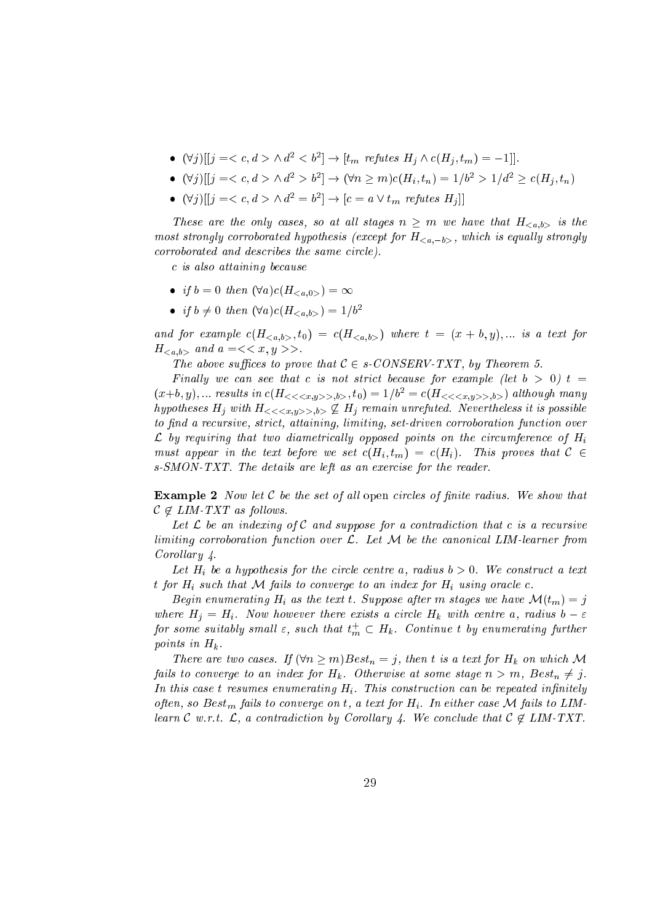- $\bullet$  (vj )  $|j| = \langle c, a \rangle \wedge a^{-1} \langle b^{-1}| \rightarrow |b^{-1}|$  refutes  $\pi_{i} \wedge c(\pi_{i}, b_{m}) = -1$ .
- $(\forall j) || j = \langle c, a \rangle \land a^{-} \rangle b^{-}$   $(\forall n \geq m) c(n_{i}, t_{n}) = 1/b^{-} > 1/a^{-} \geq c(n_{i}, t_{n})$
- $\bullet$  (vj)||1 =  $\lt c, a > \land a^2 = b^-$ |  $\to$  |c = a  $\lor t_m$  refutes  $\pi_{i}$ ||

These are the only cases, so all stages in  $\equiv$  in measurements  $\equiv$   $\chi$   $\mu$ ,  $\nu$  is the most strongly corroborated hypothesis (except joint which will meet to equally corroborated in orroborated and des
ribes the same ir
le).

is also attaining be
ause

- if  $b = 0$  then  $(\forall a) c(H_{\leq a,0>} ) = \infty$
- if  $b \neq 0$  then  $(\forall a) c(H_{}) = 1/b^2$

and for example  $\{H^c\}$  ,  $\{H^c\}$  ,  $\{H^c\}$  ,  $\{H^c\}$  ,  $\{H^c\}$  ,  $\{H^c\}$  ,  $\{H^c\}$  ,  $\{H^c\}$  ,  $\{H^c\}$  ,  $\{H^c\}$  ,  $\{H^c\}$  ,  $\{H^c\}$  ,  $\{H^c\}$  ,  $\{H^c\}$  ,  $\{H^c\}$  ,  $\{H^c\}$  ,  $\{H^c\}$  ,  $H_{\langle a,b\rangle}$  and  $a = \langle x, y \rangle$ .

es to prove the above that C 2 section is to prove the conservation of the conservation of the conservation of

Final ly we an see that is not stri
t be
ause for example (let <sup>b</sup> <sup>&</sup>gt; 0) <sup>t</sup> <sup>=</sup>  $(x+b, y), ...$  results in  $c(H_{<>, b}$ ,  $t_0) = 1/b^2 = c(H_{<>, b}$  although many hypotheses Hi with Hi  $\leq$   $\leq$   $\leq$   $\mu$  ,  $\mu$   $>$   $\geq$   $\mu$  . Nevertheless it is possible in possible to finite a recent care and attaining, contributed to attain function function function function function func  $\mathcal L$  by requiring that two diametrically opposed points on the circumference of  $H_i$ must appear in the text begins the text property  $\{H_i\}$  . The set  $\{H_i\}$ s-SMON-TXT. The details are left as an exer
ise for the reader.

**Example 2** Now let  $C$  be the set of all open circles of finite radius. We show that  $C \notin LIM-TXT$  as follows.

are a record that induces a result in the post of a relation to the contradiction of the second second and the limiting orroboration fun
tion over L. Let <sup>M</sup> be the anoni
al LIM-learner from Corol lary 4.

Let Hi be <sup>a</sup> hypothesis for the ir
le entre a, radius <sup>b</sup> <sup>&</sup>gt; 0. We onstru
t <sup>a</sup> text t for  $H_i$  such that M fails to converge to an index for  $H_i$  using oracle c.

 $\mathcal{B}$  is the term in the text time text t. Suppose after m stages we have  $\mathcal{B}$  ,  $\mathcal{B}$  ,  $\mathcal{B}$  ,  $\mathcal{B}$  ,  $\mathcal{B}$ where  $\equiv$   $\mu$  ,  $\equiv$   $\mu$  are there exists a contretion and  $\mu$  with a control  $\mu$  , which is a  $\mu$ for some suitably small  $\varepsilon,$  such that  $\iota_m \subset {\boldsymbol{H}}_k.$  Continue to yenumerating further  $p \sim \cdots \sim \cdots \sim p$ .

There are two two strings  $\mathcal{A}$  as the string form  $\mathcal{B}$  and  $\mathcal{B}$  is a text formulation of  $\mathcal{B}$ fails to onverge to an index for Hk. Otherwise at some stage <sup>n</sup> <sup>&</sup>gt; m, Bestn 6= j. an bees the repeated through the complete intervals of the complete information  $\bm{\eta}$ often, so Bestmann fails to Limba for Hi. In either to Limba for Hi. In either to Limba for Hi. In either to L learn <sup>C</sup> w.r.t. L, <sup>a</sup> ontradi
tion by Corol lary 4. We on
lude that <sup>C</sup> <sup>62</sup> LIM-TXT.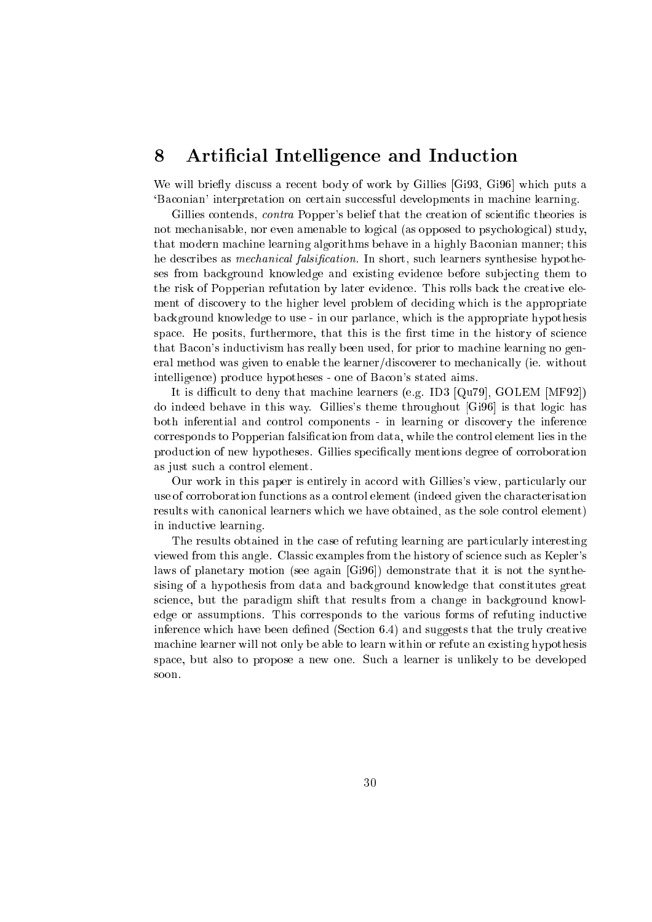# 8 Artificial Intelligence and Induction

y will be a restant from the state of work and work and work by the control of which is a put of the state of `Ba
onian' interpretation on ertain su

essful developments in ma
hine learning.

Gillies contends, *contra* Popper's belief that the creation of scientific theories is not me
hanisable, nor even amenable to logi
al (as opposed to psy
hologi
al) study, that modern matrix is modern by  $\alpha$  and the first in a finite in a higher  $\beta$  is an interesting finite. he des
ribes as me
hani
al falsi
ation. In short, su
h learners synthesise hypotheses from ba
kground knowledge and existing eviden
e before sub je
ting them to the risk of Popperian refutation by later eviden
e. This rolls ba
k the reative element of dis
overy to the higher level problem of de
iding whi
h is the appropriate ba
kground knowledge to use - in our parlan
e, whi
h is the appropriate hypothesis e. He posits the problem in this is the furthermore, the first time is the first time in the second time is th that Ba
on's indu
tivism has really been used, for prior to ma
hine learning no general method was given to enable the learner/dis
overer to me
hani
ally (ie. without intelligen
e) produ
e hypotheses - one of Ba
on's stated aims.

ult to deny that may be deny that may be deny that may be deny that may be deny that may be deny that is a set do indeed behave in this way. Gillies's theme throughout  $[G_196]$  is that logic has both inferential and ontrol omponents - in learning or dis
overy the inferen
e orresponds to Popperian falsi
ation from data, while the ontrol element lies in the produces are in the produces. Given specifications, included ally alleged to the contract of as just su
h <sup>a</sup> ontrol element.

Our work in this paper is entirely in accord with Gillies's view, particularly our use of orroboration fun
tions as <sup>a</sup> ontrol element (indeed given the hara
terisation results with anoni
al learners whi
h we have obtained, as the sole ontrol element) in indu
tive learning.

The results obtained in the ase of refuting learning are parti
ularly interesting viewed from this angle. Classi examples from the history of s
ien
e su
h as Kepler's laws of planetary motion (see again [Gi96℄) demonstrate that it is not the synthesising of <sup>a</sup> hypothesis from data and ba
kground knowledge that onstitutes great s
ien
e, but the paradigm shift that results from <sup>a</sup> hange in ba
kground knowledge or assumptions. This orresponds to the various forms of refuting indu
tive inferen
e whi
h have been dened (Se
tion 6.4) and suggests that the truly reative ma
hine learner will not only be able to learn within or refute an existing hypothesis spa
e, but also to propose <sup>a</sup> new one. Su
h <sup>a</sup> learner is unlikely to be developed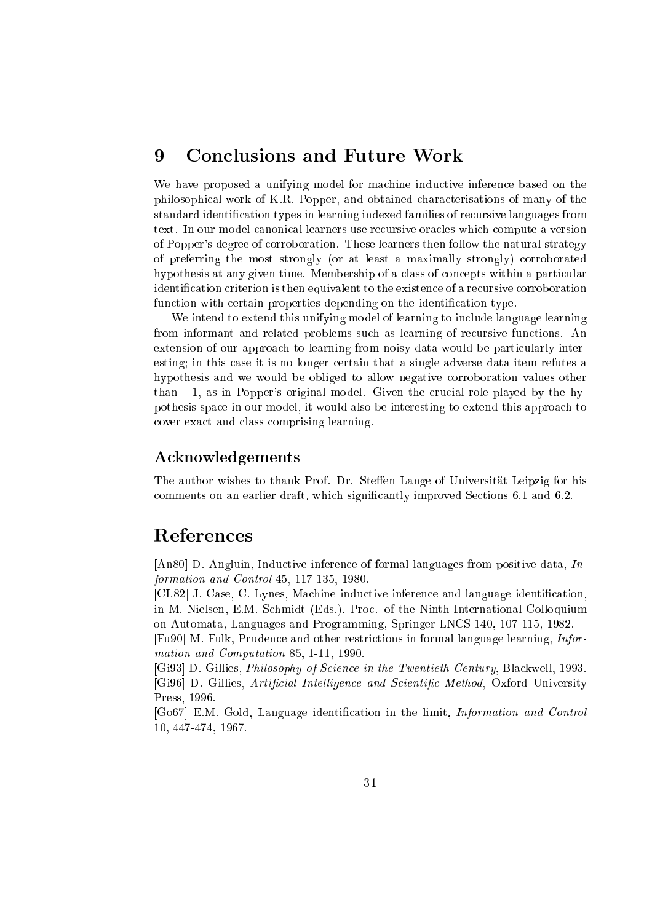We have proposed a unifying model for machine inductive inference based on the philosophi
al work of K.R. Popper, and obtained hara
terisations of many of the standard identification types in learning indexed families of recursive languages from text. In our model canonical learners use recursive oracles which compute a version of Popper's degree of orroboration. These learners then follow the natural strategy of preferring the most strongly (or at least a maximally strongly) orroborated hypothesis at any given time. Membership of a class of concepts within a particular identification criterion is then equivalent to the existence of a recursive corroboration function with certain properties depending on the identification type.

We intend to extend this unifying model of learning to include language learning from informant and related problems su
h as learning of re
ursive fun
tions. An extension of our approach to learning from noisy data would be particularly interesting; in this ase it is no longer ertain that a single adverse data item refutes a hypothesis and we would be obliged to allow negative orroboration values other than  $-1$ , as in Popper's original model. Given the crucial role played by the hypothesis spa
e in our model, it would also be interesting to extend this approa
h to over exa
t and lass omprising learning.

### A
knowledgements

The author wishes to thank Prof. Dr. Steffen Lange of Universität Leipzig for his comments on an earlier draft, which significantly improved Sections 6.1 and 6.2.

# Referen
es

[An80] D. Angluin, Inductive inference of formal languages from positive data,  $In$ formation and Control 45, 117-135, 1980.

[CL82] J. Case, C. Lynes, Machine inductive inference and language identification, in M. Nielsen, E.M. Schmidt (Eds.), Proc. of the Ninth International Colloquium on Automata, Languages and Programming, Springer LNCS 140, 107-115, 1982.

[Fu90] M. Fulk, Prudence and other restrictions in formal language learning, *Infor*mation and Computation 85, 1-11, 1990.

[Gi93] D. Gillies, *Philosophy of Science in the Twentieth Century*, Blackwell, 1993. [Gi96] D. Gillies, *Artificial Intelligence and Scientific Method*, Oxford University Press, 1996.

[Go67] E.M. Gold, Language identification in the limit, *Information and Control* 10, 447-474, 1967.